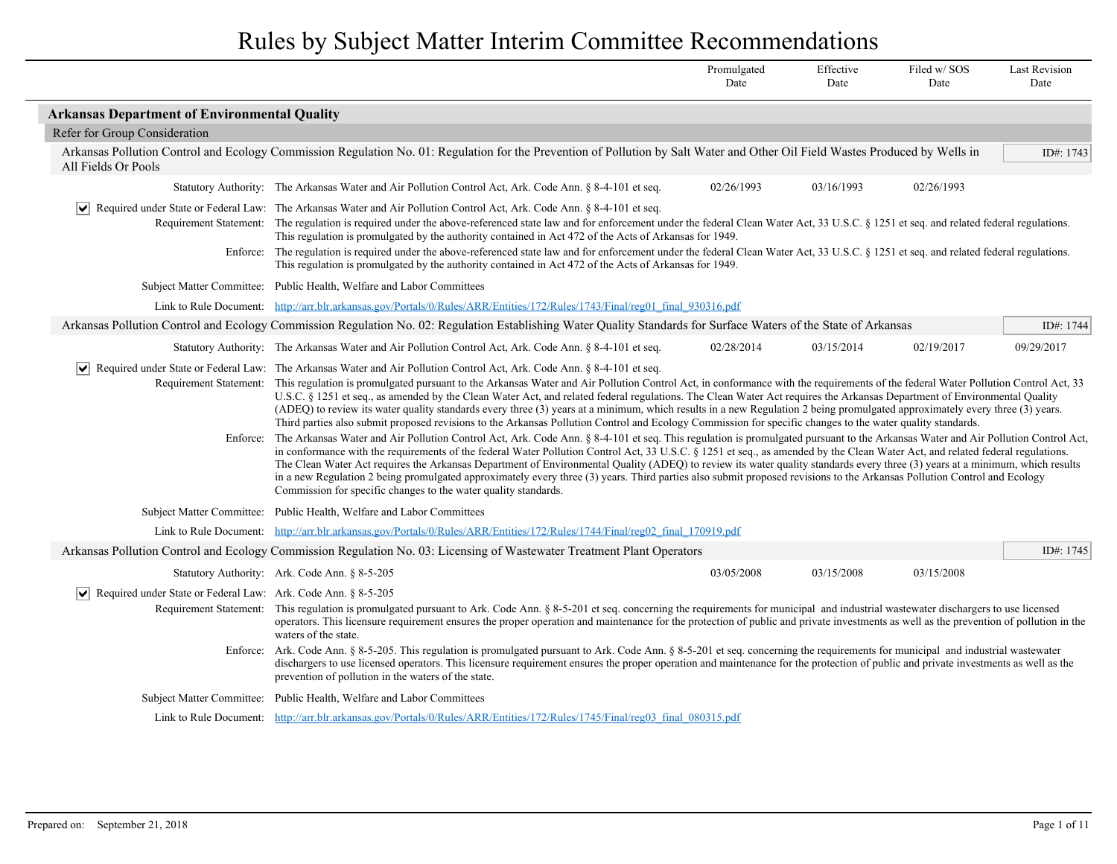|                                                                                                  |                                                                                                                                                                                                                                                                                                                                                                                                                                                                                                                                                                                                                                                                                                                                                                                                                                                                                                                                                                                                                                                                                                                                                                                                                                                                                                                                                                                                                                                                                                                                                                                                                                                                | Promulgated<br>Date                                                                                                                                                                                                                                                                                                                                                                                                                                                                                            | Effective<br>Date | Filed w/SOS<br>Date | <b>Last Revision</b><br>Date |  |
|--------------------------------------------------------------------------------------------------|----------------------------------------------------------------------------------------------------------------------------------------------------------------------------------------------------------------------------------------------------------------------------------------------------------------------------------------------------------------------------------------------------------------------------------------------------------------------------------------------------------------------------------------------------------------------------------------------------------------------------------------------------------------------------------------------------------------------------------------------------------------------------------------------------------------------------------------------------------------------------------------------------------------------------------------------------------------------------------------------------------------------------------------------------------------------------------------------------------------------------------------------------------------------------------------------------------------------------------------------------------------------------------------------------------------------------------------------------------------------------------------------------------------------------------------------------------------------------------------------------------------------------------------------------------------------------------------------------------------------------------------------------------------|----------------------------------------------------------------------------------------------------------------------------------------------------------------------------------------------------------------------------------------------------------------------------------------------------------------------------------------------------------------------------------------------------------------------------------------------------------------------------------------------------------------|-------------------|---------------------|------------------------------|--|
| <b>Arkansas Department of Environmental Quality</b>                                              |                                                                                                                                                                                                                                                                                                                                                                                                                                                                                                                                                                                                                                                                                                                                                                                                                                                                                                                                                                                                                                                                                                                                                                                                                                                                                                                                                                                                                                                                                                                                                                                                                                                                |                                                                                                                                                                                                                                                                                                                                                                                                                                                                                                                |                   |                     |                              |  |
| Refer for Group Consideration                                                                    |                                                                                                                                                                                                                                                                                                                                                                                                                                                                                                                                                                                                                                                                                                                                                                                                                                                                                                                                                                                                                                                                                                                                                                                                                                                                                                                                                                                                                                                                                                                                                                                                                                                                |                                                                                                                                                                                                                                                                                                                                                                                                                                                                                                                |                   |                     |                              |  |
| All Fields Or Pools                                                                              | Arkansas Pollution Control and Ecology Commission Regulation No. 01: Regulation for the Prevention of Pollution by Salt Water and Other Oil Field Wastes Produced by Wells in                                                                                                                                                                                                                                                                                                                                                                                                                                                                                                                                                                                                                                                                                                                                                                                                                                                                                                                                                                                                                                                                                                                                                                                                                                                                                                                                                                                                                                                                                  |                                                                                                                                                                                                                                                                                                                                                                                                                                                                                                                |                   |                     | ID#: 1743                    |  |
|                                                                                                  | Statutory Authority: The Arkansas Water and Air Pollution Control Act, Ark. Code Ann. § 8-4-101 et seq.                                                                                                                                                                                                                                                                                                                                                                                                                                                                                                                                                                                                                                                                                                                                                                                                                                                                                                                                                                                                                                                                                                                                                                                                                                                                                                                                                                                                                                                                                                                                                        | 02/26/1993                                                                                                                                                                                                                                                                                                                                                                                                                                                                                                     | 03/16/1993        | 02/26/1993          |                              |  |
|                                                                                                  | Required under State or Federal Law: The Arkansas Water and Air Pollution Control Act, Ark. Code Ann. § 8-4-101 et seq.                                                                                                                                                                                                                                                                                                                                                                                                                                                                                                                                                                                                                                                                                                                                                                                                                                                                                                                                                                                                                                                                                                                                                                                                                                                                                                                                                                                                                                                                                                                                        | Requirement Statement: The regulation is required under the above-referenced state law and for enforcement under the federal Clean Water Act, 33 U.S.C. § 1251 et seq. and related federal regulations.<br>This regulation is promulgated by the authority contained in Act 472 of the Acts of Arkansas for 1949.<br>Enforce: The regulation is required under the above-referenced state law and for enforcement under the federal Clean Water Act, 33 U.S.C. § 1251 et seq. and related federal regulations. |                   |                     |                              |  |
|                                                                                                  | This regulation is promulgated by the authority contained in Act 472 of the Acts of Arkansas for 1949.                                                                                                                                                                                                                                                                                                                                                                                                                                                                                                                                                                                                                                                                                                                                                                                                                                                                                                                                                                                                                                                                                                                                                                                                                                                                                                                                                                                                                                                                                                                                                         |                                                                                                                                                                                                                                                                                                                                                                                                                                                                                                                |                   |                     |                              |  |
|                                                                                                  | Subject Matter Committee: Public Health, Welfare and Labor Committees                                                                                                                                                                                                                                                                                                                                                                                                                                                                                                                                                                                                                                                                                                                                                                                                                                                                                                                                                                                                                                                                                                                                                                                                                                                                                                                                                                                                                                                                                                                                                                                          |                                                                                                                                                                                                                                                                                                                                                                                                                                                                                                                |                   |                     |                              |  |
|                                                                                                  | Link to Rule Document: http://arr.blr.arkansas.gov/Portals/0/Rules/ARR/Entities/172/Rules/1743/Final/reg01 final 930316.pdf                                                                                                                                                                                                                                                                                                                                                                                                                                                                                                                                                                                                                                                                                                                                                                                                                                                                                                                                                                                                                                                                                                                                                                                                                                                                                                                                                                                                                                                                                                                                    |                                                                                                                                                                                                                                                                                                                                                                                                                                                                                                                |                   |                     |                              |  |
|                                                                                                  | Arkansas Pollution Control and Ecology Commission Regulation No. 02: Regulation Establishing Water Quality Standards for Surface Waters of the State of Arkansas                                                                                                                                                                                                                                                                                                                                                                                                                                                                                                                                                                                                                                                                                                                                                                                                                                                                                                                                                                                                                                                                                                                                                                                                                                                                                                                                                                                                                                                                                               |                                                                                                                                                                                                                                                                                                                                                                                                                                                                                                                |                   |                     | ID#: 1744                    |  |
|                                                                                                  | Statutory Authority: The Arkansas Water and Air Pollution Control Act, Ark. Code Ann. § 8-4-101 et seq.                                                                                                                                                                                                                                                                                                                                                                                                                                                                                                                                                                                                                                                                                                                                                                                                                                                                                                                                                                                                                                                                                                                                                                                                                                                                                                                                                                                                                                                                                                                                                        | 02/28/2014                                                                                                                                                                                                                                                                                                                                                                                                                                                                                                     | 03/15/2014        | 02/19/2017          | 09/29/2017                   |  |
| $ \bm{\vee} $<br>Enforce:                                                                        | Required under State or Federal Law: The Arkansas Water and Air Pollution Control Act, Ark. Code Ann. § 8-4-101 et seq.<br>Requirement Statement: This regulation is promulgated pursuant to the Arkansas Water and Air Pollution Control Act, in conformance with the requirements of the federal Water Pollution Control Act, 33<br>U.S.C. § 1251 et seq., as amended by the Clean Water Act, and related federal regulations. The Clean Water Act requires the Arkansas Department of Environmental Quality<br>(ADEQ) to review its water quality standards every three (3) years at a minimum, which results in a new Regulation 2 being promulgated approximately every three (3) years.<br>Third parties also submit proposed revisions to the Arkansas Pollution Control and Ecology Commission for specific changes to the water quality standards.<br>The Arkansas Water and Air Pollution Control Act, Ark. Code Ann. § 8-4-101 et seq. This regulation is promulgated pursuant to the Arkansas Water and Air Pollution Control Act,<br>in conformance with the requirements of the federal Water Pollution Control Act, 33 U.S.C. § 1251 et seq., as amended by the Clean Water Act, and related federal regulations.<br>The Clean Water Act requires the Arkansas Department of Environmental Quality (ADEQ) to review its water quality standards every three (3) years at a minimum, which results<br>in a new Regulation 2 being promulgated approximately every three (3) years. Third parties also submit proposed revisions to the Arkansas Pollution Control and Ecology<br>Commission for specific changes to the water quality standards. |                                                                                                                                                                                                                                                                                                                                                                                                                                                                                                                |                   |                     |                              |  |
|                                                                                                  | Subject Matter Committee: Public Health, Welfare and Labor Committees                                                                                                                                                                                                                                                                                                                                                                                                                                                                                                                                                                                                                                                                                                                                                                                                                                                                                                                                                                                                                                                                                                                                                                                                                                                                                                                                                                                                                                                                                                                                                                                          |                                                                                                                                                                                                                                                                                                                                                                                                                                                                                                                |                   |                     |                              |  |
|                                                                                                  | Link to Rule Document: http://arr.blr.arkansas.gov/Portals/0/Rules/ARR/Entities/172/Rules/1744/Final/reg02_final_170919.pdf                                                                                                                                                                                                                                                                                                                                                                                                                                                                                                                                                                                                                                                                                                                                                                                                                                                                                                                                                                                                                                                                                                                                                                                                                                                                                                                                                                                                                                                                                                                                    |                                                                                                                                                                                                                                                                                                                                                                                                                                                                                                                |                   |                     |                              |  |
|                                                                                                  | Arkansas Pollution Control and Ecology Commission Regulation No. 03: Licensing of Wastewater Treatment Plant Operators                                                                                                                                                                                                                                                                                                                                                                                                                                                                                                                                                                                                                                                                                                                                                                                                                                                                                                                                                                                                                                                                                                                                                                                                                                                                                                                                                                                                                                                                                                                                         |                                                                                                                                                                                                                                                                                                                                                                                                                                                                                                                |                   |                     | ID#: $1745$                  |  |
|                                                                                                  | Statutory Authority: Ark. Code Ann. § 8-5-205                                                                                                                                                                                                                                                                                                                                                                                                                                                                                                                                                                                                                                                                                                                                                                                                                                                                                                                                                                                                                                                                                                                                                                                                                                                                                                                                                                                                                                                                                                                                                                                                                  | 03/05/2008                                                                                                                                                                                                                                                                                                                                                                                                                                                                                                     | 03/15/2008        | 03/15/2008          |                              |  |
| $ \bm{\mathsf{v}} $<br>Required under State or Federal Law: Ark. Code Ann. § 8-5-205<br>Enforce: | Requirement Statement: This regulation is promulgated pursuant to Ark. Code Ann. § 8-5-201 et seq. concerning the requirements for municipal and industrial wastewater dischargers to use licensed<br>operators. This licensure requirement ensures the proper operation and maintenance for the protection of public and private investments as well as the prevention of pollution in the<br>waters of the state.<br>Ark. Code Ann. § 8-5-205. This regulation is promulgated pursuant to Ark. Code Ann. § 8-5-201 et seq. concerning the requirements for municipal and industrial wastewater<br>dischargers to use licensed operators. This licensure requirement ensures the proper operation and maintenance for the protection of public and private investments as well as the<br>prevention of pollution in the waters of the state.                                                                                                                                                                                                                                                                                                                                                                                                                                                                                                                                                                                                                                                                                                                                                                                                                  |                                                                                                                                                                                                                                                                                                                                                                                                                                                                                                                |                   |                     |                              |  |
|                                                                                                  | Subject Matter Committee: Public Health, Welfare and Labor Committees                                                                                                                                                                                                                                                                                                                                                                                                                                                                                                                                                                                                                                                                                                                                                                                                                                                                                                                                                                                                                                                                                                                                                                                                                                                                                                                                                                                                                                                                                                                                                                                          |                                                                                                                                                                                                                                                                                                                                                                                                                                                                                                                |                   |                     |                              |  |
|                                                                                                  | Link to Rule Document: http://arr.blr.arkansas.gov/Portals/0/Rules/ARR/Entities/172/Rules/1745/Final/reg03 final 080315.pdf                                                                                                                                                                                                                                                                                                                                                                                                                                                                                                                                                                                                                                                                                                                                                                                                                                                                                                                                                                                                                                                                                                                                                                                                                                                                                                                                                                                                                                                                                                                                    |                                                                                                                                                                                                                                                                                                                                                                                                                                                                                                                |                   |                     |                              |  |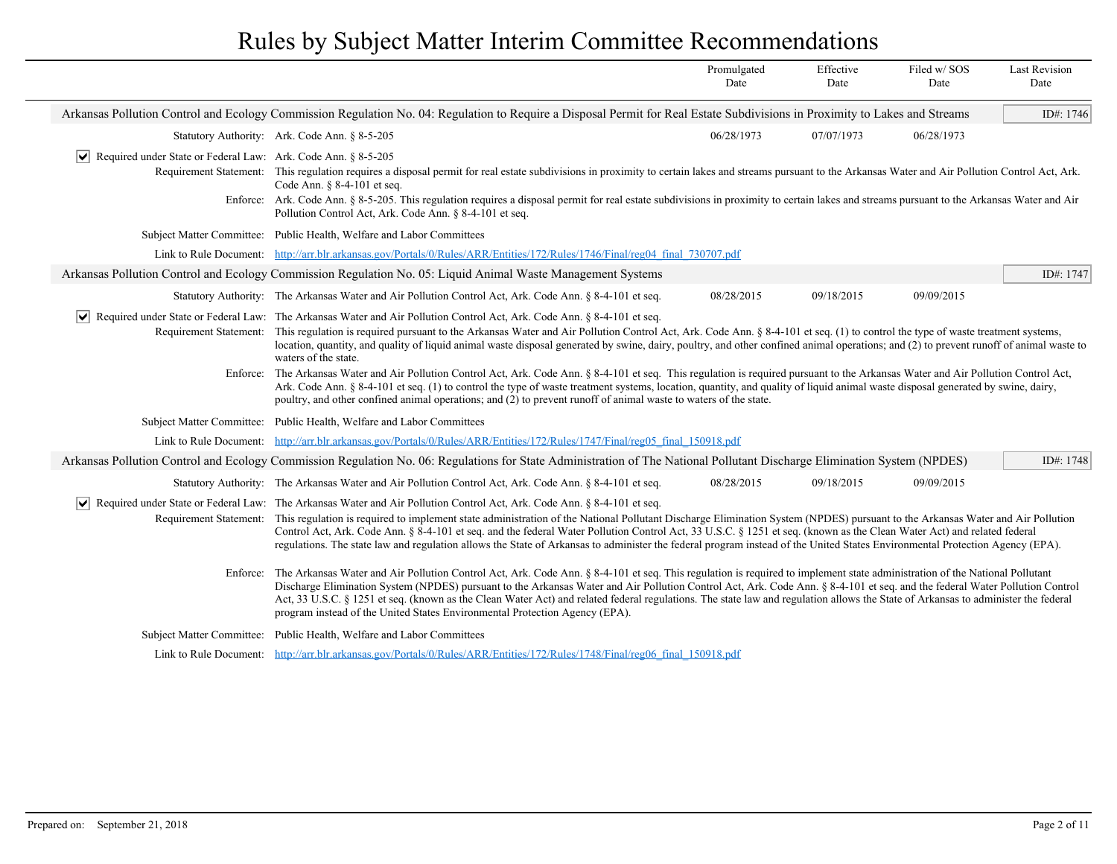|                                                                              |                                                                                                                                                                                                                                                                                                                                                                                                                                                                                                                                                                                                                                                                                                                                                                                                                                                                                                                                                                                                                                                      | Promulgated<br>Date | Effective<br>Date | Filed w/SOS<br>Date | <b>Last Revision</b><br>Date |
|------------------------------------------------------------------------------|------------------------------------------------------------------------------------------------------------------------------------------------------------------------------------------------------------------------------------------------------------------------------------------------------------------------------------------------------------------------------------------------------------------------------------------------------------------------------------------------------------------------------------------------------------------------------------------------------------------------------------------------------------------------------------------------------------------------------------------------------------------------------------------------------------------------------------------------------------------------------------------------------------------------------------------------------------------------------------------------------------------------------------------------------|---------------------|-------------------|---------------------|------------------------------|
|                                                                              | Arkansas Pollution Control and Ecology Commission Regulation No. 04: Regulation to Require a Disposal Permit for Real Estate Subdivisions in Proximity to Lakes and Streams                                                                                                                                                                                                                                                                                                                                                                                                                                                                                                                                                                                                                                                                                                                                                                                                                                                                          |                     |                   |                     | ID#: 1746                    |
|                                                                              | Statutory Authority: Ark. Code Ann. § 8-5-205                                                                                                                                                                                                                                                                                                                                                                                                                                                                                                                                                                                                                                                                                                                                                                                                                                                                                                                                                                                                        | 06/28/1973          | 07/07/1973        | 06/28/1973          |                              |
| $ \mathbf{v} $ Required under State or Federal Law: Ark. Code Ann. § 8-5-205 | Requirement Statement: This regulation requires a disposal permit for real estate subdivisions in proximity to certain lakes and streams pursuant to the Arkansas Water and Air Pollution Control Act, Ark.<br>Code Ann. § 8-4-101 et seq.<br>Enforce: Ark. Code Ann. § 8-5-205. This regulation requires a disposal permit for real estate subdivisions in proximity to certain lakes and streams pursuant to the Arkansas Water and Air<br>Pollution Control Act, Ark. Code Ann. § 8-4-101 et seq.                                                                                                                                                                                                                                                                                                                                                                                                                                                                                                                                                 |                     |                   |                     |                              |
|                                                                              | Subject Matter Committee: Public Health, Welfare and Labor Committees                                                                                                                                                                                                                                                                                                                                                                                                                                                                                                                                                                                                                                                                                                                                                                                                                                                                                                                                                                                |                     |                   |                     |                              |
|                                                                              | Link to Rule Document: http://arr.blr.arkansas.gov/Portals/0/Rules/ARR/Entities/172/Rules/1746/Final/reg04 final 730707.pdf                                                                                                                                                                                                                                                                                                                                                                                                                                                                                                                                                                                                                                                                                                                                                                                                                                                                                                                          |                     |                   |                     |                              |
|                                                                              | Arkansas Pollution Control and Ecology Commission Regulation No. 05: Liquid Animal Waste Management Systems                                                                                                                                                                                                                                                                                                                                                                                                                                                                                                                                                                                                                                                                                                                                                                                                                                                                                                                                          |                     |                   |                     | ID#: 1747                    |
|                                                                              | Statutory Authority: The Arkansas Water and Air Pollution Control Act, Ark. Code Ann. § 8-4-101 et seq.                                                                                                                                                                                                                                                                                                                                                                                                                                                                                                                                                                                                                                                                                                                                                                                                                                                                                                                                              | 08/28/2015          | 09/18/2015        | 09/09/2015          |                              |
|                                                                              | v Required under State or Federal Law: The Arkansas Water and Air Pollution Control Act, Ark. Code Ann. § 8-4-101 et seq.<br>Requirement Statement: This regulation is required pursuant to the Arkansas Water and Air Pollution Control Act, Ark. Code Ann. § 8-4-101 et seq. (1) to control the type of waste treatment systems,<br>location, quantity, and quality of liquid animal waste disposal generated by swine, dairy, poultry, and other confined animal operations; and (2) to prevent runoff of animal waste to<br>waters of the state.<br>Enforce: The Arkansas Water and Air Pollution Control Act, Ark. Code Ann. § 8-4-101 et seq. This regulation is required pursuant to the Arkansas Water and Air Pollution Control Act,<br>Ark. Code Ann. § 8-4-101 et seq. (1) to control the type of waste treatment systems, location, quantity, and quality of liquid animal waste disposal generated by swine, dairy,<br>poultry, and other confined animal operations; and (2) to prevent runoff of animal waste to waters of the state. |                     |                   |                     |                              |
|                                                                              | Subject Matter Committee: Public Health, Welfare and Labor Committees                                                                                                                                                                                                                                                                                                                                                                                                                                                                                                                                                                                                                                                                                                                                                                                                                                                                                                                                                                                |                     |                   |                     |                              |
|                                                                              | Link to Rule Document: http://arr.blr.arkansas.gov/Portals/0/Rules/ARR/Entities/172/Rules/1747/Final/reg05 final 150918.pdf                                                                                                                                                                                                                                                                                                                                                                                                                                                                                                                                                                                                                                                                                                                                                                                                                                                                                                                          |                     |                   |                     |                              |
|                                                                              | Arkansas Pollution Control and Ecology Commission Regulation No. 06: Regulations for State Administration of The National Pollutant Discharge Elimination System (NPDES)                                                                                                                                                                                                                                                                                                                                                                                                                                                                                                                                                                                                                                                                                                                                                                                                                                                                             |                     |                   |                     | ID#: 1748                    |
|                                                                              | Statutory Authority: The Arkansas Water and Air Pollution Control Act, Ark. Code Ann. § 8-4-101 et seq.                                                                                                                                                                                                                                                                                                                                                                                                                                                                                                                                                                                                                                                                                                                                                                                                                                                                                                                                              | 08/28/2015          | 09/18/2015        | 09/09/2015          |                              |
|                                                                              | √ Required under State or Federal Law: The Arkansas Water and Air Pollution Control Act, Ark. Code Ann. § 8-4-101 et seq.<br>Requirement Statement: This regulation is required to implement state administration of the National Pollutant Discharge Elimination System (NPDES) pursuant to the Arkansas Water and Air Pollution<br>Control Act, Ark. Code Ann. § 8-4-101 et seq. and the federal Water Pollution Control Act, 33 U.S.C. § 1251 et seq. (known as the Clean Water Act) and related federal<br>regulations. The state law and regulation allows the State of Arkansas to administer the federal program instead of the United States Environmental Protection Agency (EPA).                                                                                                                                                                                                                                                                                                                                                          |                     |                   |                     |                              |
| Enforce:                                                                     | The Arkansas Water and Air Pollution Control Act, Ark. Code Ann. § 8-4-101 et seq. This regulation is required to implement state administration of the National Pollutant<br>Discharge Elimination System (NPDES) pursuant to the Arkansas Water and Air Pollution Control Act, Ark. Code Ann. § 8-4-101 et seq. and the federal Water Pollution Control<br>Act, 33 U.S.C. § 1251 et seq. (known as the Clean Water Act) and related federal regulations. The state law and regulation allows the State of Arkansas to administer the federal<br>program instead of the United States Environmental Protection Agency (EPA).                                                                                                                                                                                                                                                                                                                                                                                                                        |                     |                   |                     |                              |
|                                                                              | Subject Matter Committee: Public Health, Welfare and Labor Committees                                                                                                                                                                                                                                                                                                                                                                                                                                                                                                                                                                                                                                                                                                                                                                                                                                                                                                                                                                                |                     |                   |                     |                              |
|                                                                              | Link to Rule Document: http://arr.blr.arkansas.gov/Portals/0/Rules/ARR/Entities/172/Rules/1748/Final/reg06_final_150918.pdf                                                                                                                                                                                                                                                                                                                                                                                                                                                                                                                                                                                                                                                                                                                                                                                                                                                                                                                          |                     |                   |                     |                              |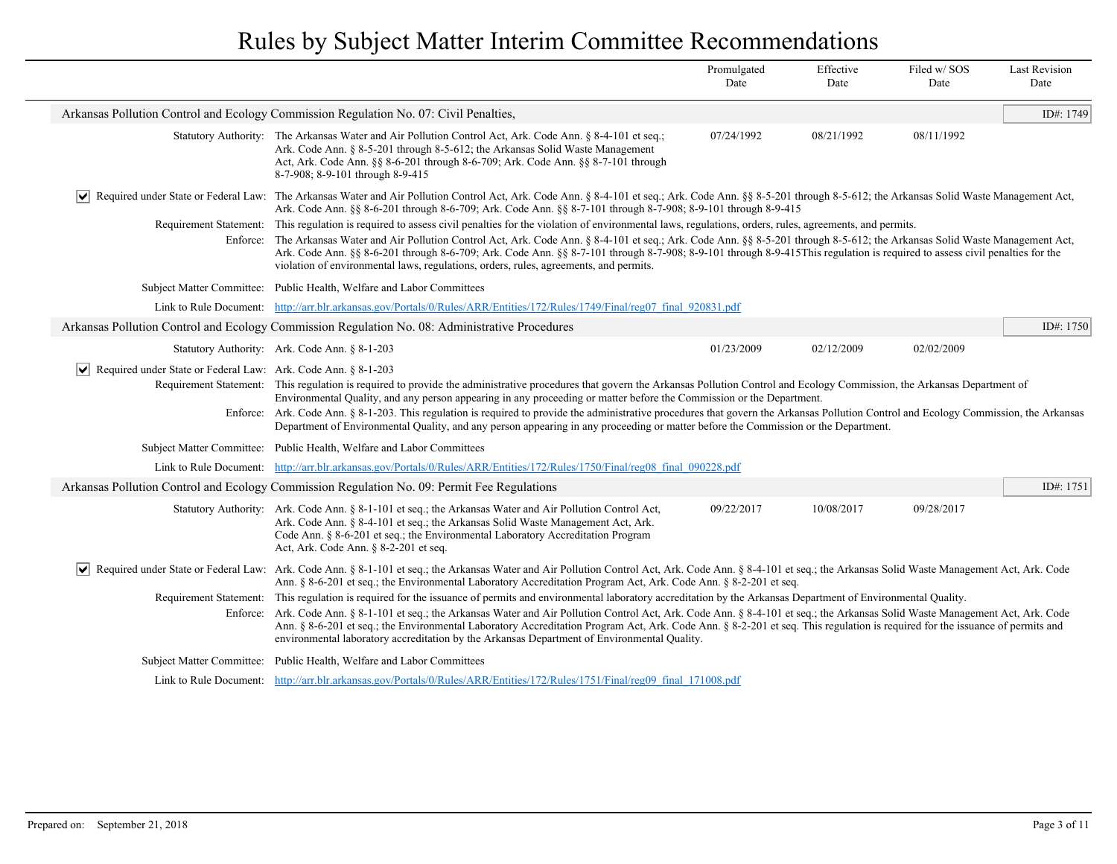|                                                               |                                                                                                                                                                                                                                                                                                                                                                                                                                                                                                                                                                                                                                                                                                                                                                                                                                                                                                                                                                                         | Promulgated<br>Date | Effective<br>Date | Filed w/SOS<br>Date | <b>Last Revision</b><br>Date |
|---------------------------------------------------------------|-----------------------------------------------------------------------------------------------------------------------------------------------------------------------------------------------------------------------------------------------------------------------------------------------------------------------------------------------------------------------------------------------------------------------------------------------------------------------------------------------------------------------------------------------------------------------------------------------------------------------------------------------------------------------------------------------------------------------------------------------------------------------------------------------------------------------------------------------------------------------------------------------------------------------------------------------------------------------------------------|---------------------|-------------------|---------------------|------------------------------|
|                                                               | Arkansas Pollution Control and Ecology Commission Regulation No. 07: Civil Penalties,                                                                                                                                                                                                                                                                                                                                                                                                                                                                                                                                                                                                                                                                                                                                                                                                                                                                                                   |                     |                   |                     | ID#: 1749                    |
|                                                               | Statutory Authority: The Arkansas Water and Air Pollution Control Act, Ark. Code Ann. § 8-4-101 et seq.;<br>Ark. Code Ann. § 8-5-201 through 8-5-612; the Arkansas Solid Waste Management<br>Act, Ark. Code Ann. §§ 8-6-201 through 8-6-709; Ark. Code Ann. §§ 8-7-101 through<br>8-7-908; 8-9-101 through 8-9-415                                                                                                                                                                                                                                                                                                                                                                                                                                                                                                                                                                                                                                                                      | 07/24/1992          | 08/21/1992        | 08/11/1992          |                              |
| M                                                             | Required under State or Federal Law: The Arkansas Water and Air Pollution Control Act, Ark. Code Ann. § 8-4-101 et seq.; Ark. Code Ann. §§ 8-5-201 through 8-5-612; the Arkansas Solid Waste Management Act,<br>Ark. Code Ann. §§ 8-6-201 through 8-6-709; Ark. Code Ann. §§ 8-7-101 through 8-7-908; 8-9-101 through 8-9-415<br>Requirement Statement: This regulation is required to assess civil penalties for the violation of environmental laws, regulations, orders, rules, agreements, and permits.<br>Enforce: The Arkansas Water and Air Pollution Control Act, Ark. Code Ann. § 8-4-101 et seq.; Ark. Code Ann. §§ 8-5-201 through 8-5-612; the Arkansas Solid Waste Management Act,<br>Ark. Code Ann. §§ 8-6-201 through 8-6-709; Ark. Code Ann. §§ 8-7-101 through 8-7-908; 8-9-101 through 8-9-415This regulation is required to assess civil penalties for the<br>violation of environmental laws, regulations, orders, rules, agreements, and permits.                  |                     |                   |                     |                              |
|                                                               | Subject Matter Committee: Public Health, Welfare and Labor Committees                                                                                                                                                                                                                                                                                                                                                                                                                                                                                                                                                                                                                                                                                                                                                                                                                                                                                                                   |                     |                   |                     |                              |
|                                                               | Link to Rule Document: http://arr.blr.arkansas.gov/Portals/0/Rules/ARR/Entities/172/Rules/1749/Final/reg07 final 920831.pdf                                                                                                                                                                                                                                                                                                                                                                                                                                                                                                                                                                                                                                                                                                                                                                                                                                                             |                     |                   |                     |                              |
|                                                               | Arkansas Pollution Control and Ecology Commission Regulation No. 08: Administrative Procedures                                                                                                                                                                                                                                                                                                                                                                                                                                                                                                                                                                                                                                                                                                                                                                                                                                                                                          |                     |                   |                     | ID#: 1750                    |
|                                                               | Statutory Authority: Ark. Code Ann. § 8-1-203                                                                                                                                                                                                                                                                                                                                                                                                                                                                                                                                                                                                                                                                                                                                                                                                                                                                                                                                           | 01/23/2009          | 02/12/2009        | 02/02/2009          |                              |
| Required under State or Federal Law: Ark. Code Ann. § 8-1-203 | Requirement Statement: This regulation is required to provide the administrative procedures that govern the Arkansas Pollution Control and Ecology Commission, the Arkansas Department of<br>Environmental Quality, and any person appearing in any proceeding or matter before the Commission or the Department.<br>Enforce: Ark. Code Ann. § 8-1-203. This regulation is required to provide the administrative procedures that govern the Arkansas Pollution Control and Ecology Commission, the Arkansas<br>Department of Environmental Quality, and any person appearing in any proceeding or matter before the Commission or the Department.                                                                                                                                                                                                                                                                                                                                      |                     |                   |                     |                              |
|                                                               | Subject Matter Committee: Public Health, Welfare and Labor Committees                                                                                                                                                                                                                                                                                                                                                                                                                                                                                                                                                                                                                                                                                                                                                                                                                                                                                                                   |                     |                   |                     |                              |
|                                                               | Link to Rule Document: http://arr.blr.arkansas.gov/Portals/0/Rules/ARR/Entities/172/Rules/1750/Final/reg08 final 090228.pdf                                                                                                                                                                                                                                                                                                                                                                                                                                                                                                                                                                                                                                                                                                                                                                                                                                                             |                     |                   |                     |                              |
|                                                               | Arkansas Pollution Control and Ecology Commission Regulation No. 09: Permit Fee Regulations                                                                                                                                                                                                                                                                                                                                                                                                                                                                                                                                                                                                                                                                                                                                                                                                                                                                                             |                     |                   |                     | ID#: 1751                    |
|                                                               | Statutory Authority: Ark. Code Ann. § 8-1-101 et seq.; the Arkansas Water and Air Pollution Control Act,<br>Ark. Code Ann. § 8-4-101 et seq.; the Arkansas Solid Waste Management Act, Ark.<br>Code Ann. § 8-6-201 et seq.; the Environmental Laboratory Accreditation Program<br>Act, Ark. Code Ann. § 8-2-201 et seq.                                                                                                                                                                                                                                                                                                                                                                                                                                                                                                                                                                                                                                                                 | 09/22/2017          | 10/08/2017        | 09/28/2017          |                              |
| $\vert\bm{\mathsf{v}}\vert$                                   | Required under State or Federal Law: Ark. Code Ann. § 8-1-101 et seq.; the Arkansas Water and Air Pollution Control Act, Ark. Code Ann. § 8-4-101 et seq.; the Arkansas Solid Waste Management Act, Ark. Code<br>Ann. § 8-6-201 et seq.; the Environmental Laboratory Accreditation Program Act, Ark. Code Ann. § 8-2-201 et seq.<br>Requirement Statement: This regulation is required for the issuance of permits and environmental laboratory accreditation by the Arkansas Department of Environmental Quality.<br>Enforce: Ark. Code Ann. § 8-1-101 et seq.; the Arkansas Water and Air Pollution Control Act, Ark. Code Ann. § 8-4-101 et seq.; the Arkansas Solid Waste Management Act, Ark. Code<br>Ann. § 8-6-201 et seq.; the Environmental Laboratory Accreditation Program Act, Ark. Code Ann. § 8-2-201 et seq. This regulation is required for the issuance of permits and<br>environmental laboratory accreditation by the Arkansas Department of Environmental Quality. |                     |                   |                     |                              |
|                                                               | Subject Matter Committee: Public Health, Welfare and Labor Committees                                                                                                                                                                                                                                                                                                                                                                                                                                                                                                                                                                                                                                                                                                                                                                                                                                                                                                                   |                     |                   |                     |                              |
|                                                               | Link to Rule Document: http://arr.blr.arkansas.gov/Portals/0/Rules/ARR/Entities/172/Rules/1751/Final/reg09 final 171008.pdf                                                                                                                                                                                                                                                                                                                                                                                                                                                                                                                                                                                                                                                                                                                                                                                                                                                             |                     |                   |                     |                              |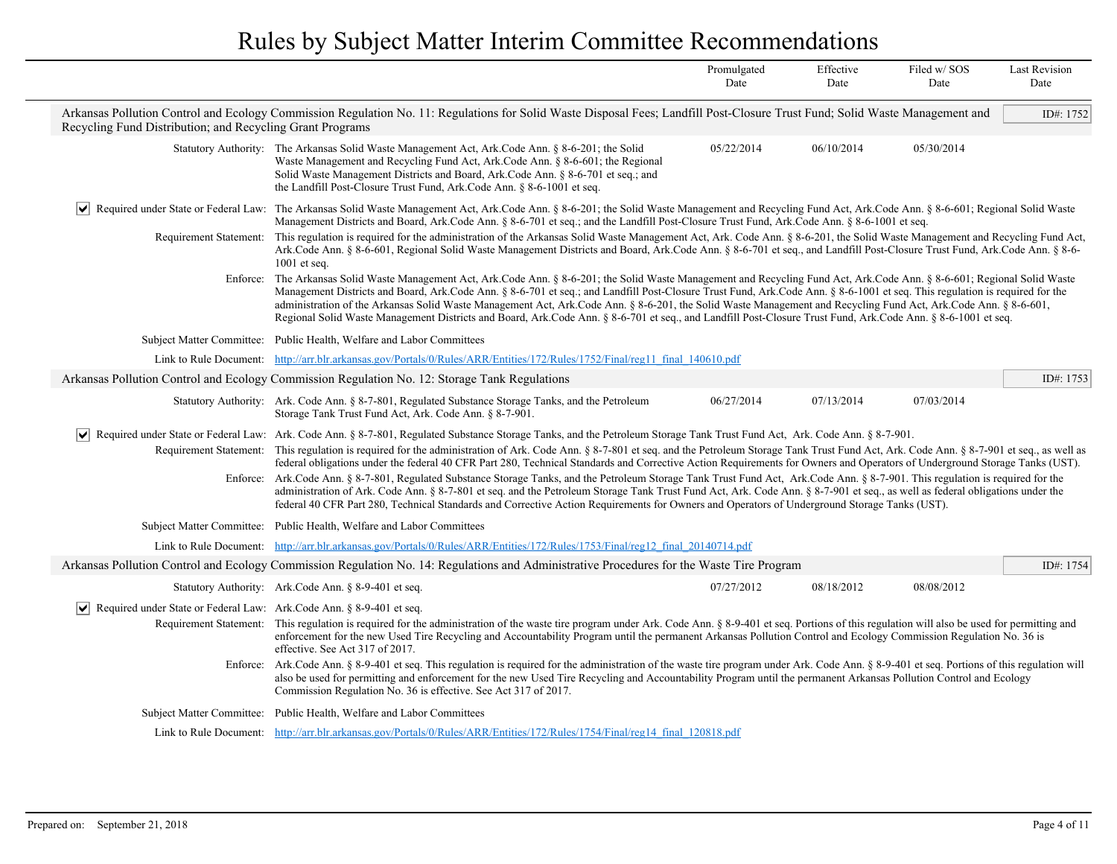|                                                                       |                                                                                                                                                                                                                                                                                                                                                                                                                                                                                                                                                                                                                                                                                                                                                                                                                                                                                                                                                                                                                                                                                           | Promulgated<br>Date | Effective<br>Date | Filed w/SOS<br>Date | <b>Last Revision</b><br>Date |
|-----------------------------------------------------------------------|-------------------------------------------------------------------------------------------------------------------------------------------------------------------------------------------------------------------------------------------------------------------------------------------------------------------------------------------------------------------------------------------------------------------------------------------------------------------------------------------------------------------------------------------------------------------------------------------------------------------------------------------------------------------------------------------------------------------------------------------------------------------------------------------------------------------------------------------------------------------------------------------------------------------------------------------------------------------------------------------------------------------------------------------------------------------------------------------|---------------------|-------------------|---------------------|------------------------------|
| Recycling Fund Distribution; and Recycling Grant Programs             | Arkansas Pollution Control and Ecology Commission Regulation No. 11: Regulations for Solid Waste Disposal Fees; Landfill Post-Closure Trust Fund; Solid Waste Management and                                                                                                                                                                                                                                                                                                                                                                                                                                                                                                                                                                                                                                                                                                                                                                                                                                                                                                              |                     |                   |                     | ID#: 1752                    |
|                                                                       | Statutory Authority: The Arkansas Solid Waste Management Act, Ark.Code Ann. § 8-6-201; the Solid<br>Waste Management and Recycling Fund Act, Ark.Code Ann. § 8-6-601; the Regional<br>Solid Waste Management Districts and Board, Ark.Code Ann. § 8-6-701 et seq.; and<br>the Landfill Post-Closure Trust Fund, Ark.Code Ann. § 8-6-1001 et seq.                                                                                                                                                                                                                                                                                                                                                                                                                                                                                                                                                                                                                                                                                                                                          | 05/22/2014          | 06/10/2014        | 05/30/2014          |                              |
| ∣V∣                                                                   | Required under State or Federal Law: The Arkansas Solid Waste Management Act, Ark.Code Ann. § 8-6-201; the Solid Waste Management and Recycling Fund Act, Ark.Code Ann. § 8-6-601; Regional Solid Waste<br>Management Districts and Board, Ark.Code Ann. § 8-6-701 et seq.; and the Landfill Post-Closure Trust Fund, Ark.Code Ann. § 8-6-1001 et seq.                                                                                                                                                                                                                                                                                                                                                                                                                                                                                                                                                                                                                                                                                                                                    |                     |                   |                     |                              |
|                                                                       | Requirement Statement: This regulation is required for the administration of the Arkansas Solid Waste Management Act, Ark. Code Ann. § 8-6-201, the Solid Waste Management and Recycling Fund Act,<br>Ark.Code Ann. § 8-6-601, Regional Solid Waste Management Districts and Board, Ark.Code Ann. § 8-6-701 et seq., and Landfill Post-Closure Trust Fund, Ark.Code Ann. § 8-6-<br>$1001$ et seq.                                                                                                                                                                                                                                                                                                                                                                                                                                                                                                                                                                                                                                                                                         |                     |                   |                     |                              |
|                                                                       | Enforce: The Arkansas Solid Waste Management Act, Ark.Code Ann. § 8-6-201; the Solid Waste Management and Recycling Fund Act, Ark.Code Ann. § 8-6-601; Regional Solid Waste<br>Management Districts and Board, Ark.Code Ann. § 8-6-701 et seq.; and Landfill Post-Closure Trust Fund, Ark.Code Ann. § 8-6-1001 et seq. This regulation is required for the<br>administration of the Arkansas Solid Waste Management Act, Ark.Code Ann. § 8-6-201, the Solid Waste Management and Recycling Fund Act, Ark.Code Ann. § 8-6-601,<br>Regional Solid Waste Management Districts and Board, Ark.Code Ann. § 8-6-701 et seq., and Landfill Post-Closure Trust Fund, Ark.Code Ann. § 8-6-1001 et seq.                                                                                                                                                                                                                                                                                                                                                                                             |                     |                   |                     |                              |
|                                                                       | Subject Matter Committee: Public Health, Welfare and Labor Committees                                                                                                                                                                                                                                                                                                                                                                                                                                                                                                                                                                                                                                                                                                                                                                                                                                                                                                                                                                                                                     |                     |                   |                     |                              |
|                                                                       | Link to Rule Document: http://arr.blr.arkansas.gov/Portals/0/Rules/ARR/Entities/172/Rules/1752/Final/reg11 final 140610.pdf                                                                                                                                                                                                                                                                                                                                                                                                                                                                                                                                                                                                                                                                                                                                                                                                                                                                                                                                                               |                     |                   |                     |                              |
|                                                                       | Arkansas Pollution Control and Ecology Commission Regulation No. 12: Storage Tank Regulations                                                                                                                                                                                                                                                                                                                                                                                                                                                                                                                                                                                                                                                                                                                                                                                                                                                                                                                                                                                             |                     |                   |                     | ID#: $1753$                  |
|                                                                       | Statutory Authority: Ark. Code Ann. § 8-7-801, Regulated Substance Storage Tanks, and the Petroleum<br>Storage Tank Trust Fund Act, Ark. Code Ann. § 8-7-901.                                                                                                                                                                                                                                                                                                                                                                                                                                                                                                                                                                                                                                                                                                                                                                                                                                                                                                                             | 06/27/2014          | 07/13/2014        | 07/03/2014          |                              |
| $\vert\bm{\mathsf{v}}\vert$                                           | Required under State or Federal Law: Ark. Code Ann. § 8-7-801, Regulated Substance Storage Tanks, and the Petroleum Storage Tank Trust Fund Act, Ark. Code Ann. § 8-7-901.<br>Requirement Statement: This regulation is required for the administration of Ark. Code Ann. § 8-7-801 et seq. and the Petroleum Storage Tank Trust Fund Act, Ark. Code Ann. § 8-7-901 et seq., as well as<br>federal obligations under the federal 40 CFR Part 280, Technical Standards and Corrective Action Requirements for Owners and Operators of Underground Storage Tanks (UST).<br>Enforce: Ark.Code Ann. § 8-7-801, Regulated Substance Storage Tanks, and the Petroleum Storage Tank Trust Fund Act, Ark.Code Ann. § 8-7-901. This regulation is required for the<br>administration of Ark. Code Ann. § 8-7-801 et seq. and the Petroleum Storage Tank Trust Fund Act, Ark. Code Ann. § 8-7-901 et seq., as well as federal obligations under the<br>federal 40 CFR Part 280, Technical Standards and Corrective Action Requirements for Owners and Operators of Underground Storage Tanks (UST). |                     |                   |                     |                              |
|                                                                       | Subject Matter Committee: Public Health, Welfare and Labor Committees                                                                                                                                                                                                                                                                                                                                                                                                                                                                                                                                                                                                                                                                                                                                                                                                                                                                                                                                                                                                                     |                     |                   |                     |                              |
|                                                                       | Link to Rule Document: http://arr.blr.arkansas.gov/Portals/0/Rules/ARR/Entities/172/Rules/1753/Final/reg12 final 20140714.pdf                                                                                                                                                                                                                                                                                                                                                                                                                                                                                                                                                                                                                                                                                                                                                                                                                                                                                                                                                             |                     |                   |                     |                              |
|                                                                       | Arkansas Pollution Control and Ecology Commission Regulation No. 14: Regulations and Administrative Procedures for the Waste Tire Program                                                                                                                                                                                                                                                                                                                                                                                                                                                                                                                                                                                                                                                                                                                                                                                                                                                                                                                                                 |                     |                   |                     | ID#: 1754                    |
|                                                                       | Statutory Authority: Ark.Code Ann. § 8-9-401 et seq.                                                                                                                                                                                                                                                                                                                                                                                                                                                                                                                                                                                                                                                                                                                                                                                                                                                                                                                                                                                                                                      | 07/27/2012          | 08/18/2012        | 08/08/2012          |                              |
| Required under State or Federal Law: Ark. Code Ann. § 8-9-401 et seq. | Requirement Statement: This regulation is required for the administration of the waste tire program under Ark. Code Ann. § 8-9-401 et seq. Portions of this regulation will also be used for permitting and<br>enforcement for the new Used Tire Recycling and Accountability Program until the permanent Arkansas Pollution Control and Ecology Commission Regulation No. 36 is<br>effective. See Act 317 of 2017.<br>Enforce: Ark.Code Ann. § 8-9-401 et seq. This regulation is required for the administration of the waste tire program under Ark. Code Ann. § 8-9-401 et seq. Portions of this regulation will                                                                                                                                                                                                                                                                                                                                                                                                                                                                      |                     |                   |                     |                              |
|                                                                       | also be used for permitting and enforcement for the new Used Tire Recycling and Accountability Program until the permanent Arkansas Pollution Control and Ecology<br>Commission Regulation No. 36 is effective. See Act 317 of 2017.                                                                                                                                                                                                                                                                                                                                                                                                                                                                                                                                                                                                                                                                                                                                                                                                                                                      |                     |                   |                     |                              |
|                                                                       | Subject Matter Committee: Public Health, Welfare and Labor Committees                                                                                                                                                                                                                                                                                                                                                                                                                                                                                                                                                                                                                                                                                                                                                                                                                                                                                                                                                                                                                     |                     |                   |                     |                              |
|                                                                       | Link to Rule Document: http://arr.blr.arkansas.gov/Portals/0/Rules/ARR/Entities/172/Rules/1754/Final/reg14 final 120818.pdf                                                                                                                                                                                                                                                                                                                                                                                                                                                                                                                                                                                                                                                                                                                                                                                                                                                                                                                                                               |                     |                   |                     |                              |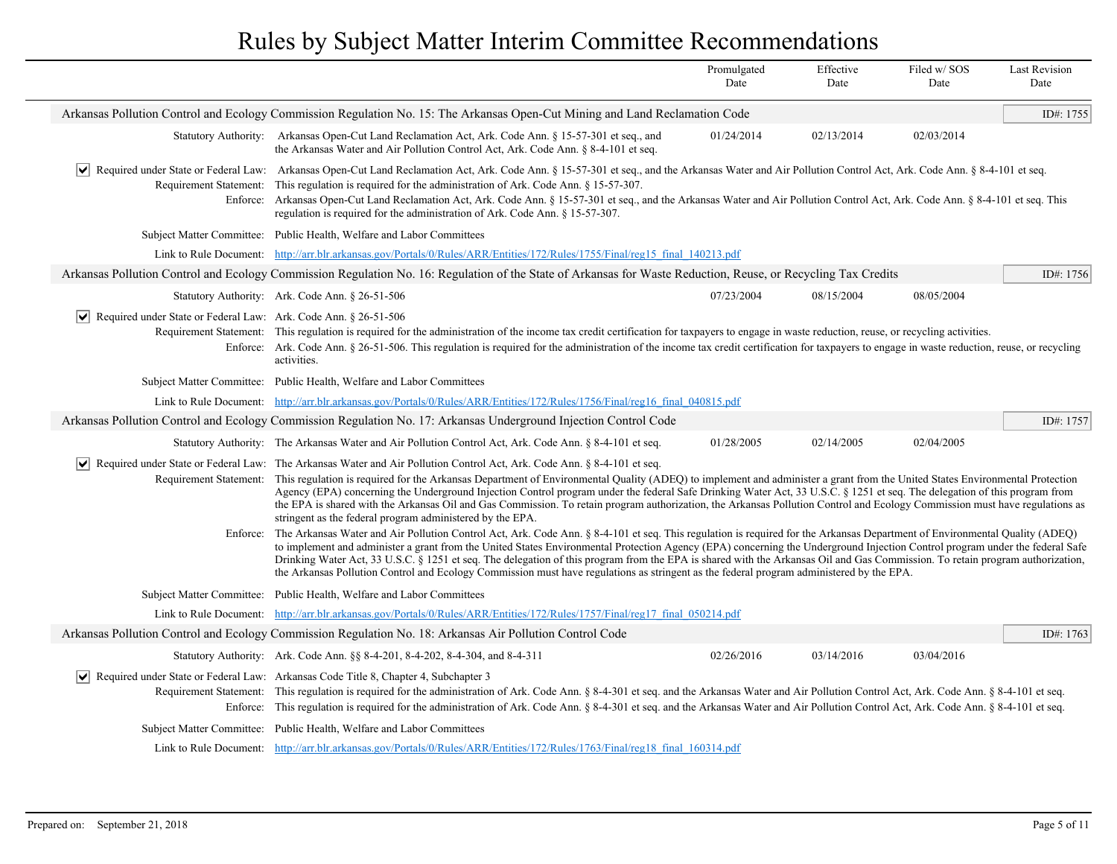|                                                                                |                                                                                                                                                                                                                                                                                                                                                                                                                                                                                                                                                                                                                                                                                                                                                                                                                                                                                                                                               | Promulgated<br>Date | Effective<br>Date | Filed w/SOS<br>Date | <b>Last Revision</b><br>Date |
|--------------------------------------------------------------------------------|-----------------------------------------------------------------------------------------------------------------------------------------------------------------------------------------------------------------------------------------------------------------------------------------------------------------------------------------------------------------------------------------------------------------------------------------------------------------------------------------------------------------------------------------------------------------------------------------------------------------------------------------------------------------------------------------------------------------------------------------------------------------------------------------------------------------------------------------------------------------------------------------------------------------------------------------------|---------------------|-------------------|---------------------|------------------------------|
|                                                                                | Arkansas Pollution Control and Ecology Commission Regulation No. 15: The Arkansas Open-Cut Mining and Land Reclamation Code                                                                                                                                                                                                                                                                                                                                                                                                                                                                                                                                                                                                                                                                                                                                                                                                                   |                     |                   |                     | ID#: 1755                    |
|                                                                                | Statutory Authority: Arkansas Open-Cut Land Reclamation Act, Ark. Code Ann. § 15-57-301 et seq., and<br>the Arkansas Water and Air Pollution Control Act, Ark. Code Ann. § 8-4-101 et seq.                                                                                                                                                                                                                                                                                                                                                                                                                                                                                                                                                                                                                                                                                                                                                    | 01/24/2014          | 02/13/2014        | 02/03/2014          |                              |
|                                                                                | • Required under State or Federal Law: Arkansas Open-Cut Land Reclamation Act, Ark. Code Ann. § 15-57-301 et seq., and the Arkansas Water and Air Pollution Control Act, Ark. Code Ann. § 8-4-101 et seq.<br>Requirement Statement: This regulation is required for the administration of Ark. Code Ann. § 15-57-307.<br>Enforce: Arkansas Open-Cut Land Reclamation Act, Ark. Code Ann. § 15-57-301 et seq., and the Arkansas Water and Air Pollution Control Act, Ark. Code Ann. § 8-4-101 et seq. This<br>regulation is required for the administration of Ark. Code Ann. § 15-57-307.                                                                                                                                                                                                                                                                                                                                                     |                     |                   |                     |                              |
|                                                                                | Subject Matter Committee: Public Health, Welfare and Labor Committees                                                                                                                                                                                                                                                                                                                                                                                                                                                                                                                                                                                                                                                                                                                                                                                                                                                                         |                     |                   |                     |                              |
|                                                                                | Link to Rule Document: http://arr.blr.arkansas.gov/Portals/0/Rules/ARR/Entities/172/Rules/1755/Final/reg15 final 140213.pdf                                                                                                                                                                                                                                                                                                                                                                                                                                                                                                                                                                                                                                                                                                                                                                                                                   |                     |                   |                     |                              |
|                                                                                | Arkansas Pollution Control and Ecology Commission Regulation No. 16: Regulation of the State of Arkansas for Waste Reduction, Reuse, or Recycling Tax Credits                                                                                                                                                                                                                                                                                                                                                                                                                                                                                                                                                                                                                                                                                                                                                                                 |                     |                   |                     | ID#: 1756                    |
|                                                                                | Statutory Authority: Ark. Code Ann. § 26-51-506                                                                                                                                                                                                                                                                                                                                                                                                                                                                                                                                                                                                                                                                                                                                                                                                                                                                                               | 07/23/2004          | 08/15/2004        | 08/05/2004          |                              |
| $ \mathbf{v} $ Required under State or Federal Law: Ark. Code Ann. § 26-51-506 | Requirement Statement: This regulation is required for the administration of the income tax credit certification for taxpayers to engage in waste reduction, reuse, or recycling activities.<br>Enforce: Ark. Code Ann. § 26-51-506. This regulation is required for the administration of the income tax credit certification for taxpayers to engage in waste reduction, reuse, or recycling<br>activities.                                                                                                                                                                                                                                                                                                                                                                                                                                                                                                                                 |                     |                   |                     |                              |
|                                                                                | Subject Matter Committee: Public Health, Welfare and Labor Committees                                                                                                                                                                                                                                                                                                                                                                                                                                                                                                                                                                                                                                                                                                                                                                                                                                                                         |                     |                   |                     |                              |
|                                                                                | Link to Rule Document: http://arr.blr.arkansas.gov/Portals/0/Rules/ARR/Entities/172/Rules/1756/Final/reg16 final 040815.pdf                                                                                                                                                                                                                                                                                                                                                                                                                                                                                                                                                                                                                                                                                                                                                                                                                   |                     |                   |                     |                              |
|                                                                                | Arkansas Pollution Control and Ecology Commission Regulation No. 17: Arkansas Underground Injection Control Code                                                                                                                                                                                                                                                                                                                                                                                                                                                                                                                                                                                                                                                                                                                                                                                                                              |                     |                   |                     | ID#: 1757                    |
|                                                                                | Statutory Authority: The Arkansas Water and Air Pollution Control Act, Ark. Code Ann. § 8-4-101 et seq.                                                                                                                                                                                                                                                                                                                                                                                                                                                                                                                                                                                                                                                                                                                                                                                                                                       | 01/28/2005          | 02/14/2005        | 02/04/2005          |                              |
| $ \bm{\mathsf{v}} $                                                            | Required under State or Federal Law: The Arkansas Water and Air Pollution Control Act, Ark. Code Ann. § 8-4-101 et seq.<br>Requirement Statement: This regulation is required for the Arkansas Department of Environmental Quality (ADEQ) to implement and administer a grant from the United States Environmental Protection<br>Agency (EPA) concerning the Underground Injection Control program under the federal Safe Drinking Water Act, 33 U.S.C. § 1251 et seq. The delegation of this program from<br>the EPA is shared with the Arkansas Oil and Gas Commission. To retain program authorization, the Arkansas Pollution Control and Ecology Commission must have regulations as<br>stringent as the federal program administered by the EPA.<br>Enforce: The Arkansas Water and Air Pollution Control Act, Ark. Code Ann. § 8-4-101 et seq. This regulation is required for the Arkansas Department of Environmental Quality (ADEQ) |                     |                   |                     |                              |
|                                                                                | to implement and administer a grant from the United States Environmental Protection Agency (EPA) concerning the Underground Injection Control program under the federal Safe<br>Drinking Water Act, 33 U.S.C. § 1251 et seq. The delegation of this program from the EPA is shared with the Arkansas Oil and Gas Commission. To retain program authorization,<br>the Arkansas Pollution Control and Ecology Commission must have regulations as stringent as the federal program administered by the EPA.                                                                                                                                                                                                                                                                                                                                                                                                                                     |                     |                   |                     |                              |
|                                                                                | Subject Matter Committee: Public Health, Welfare and Labor Committees                                                                                                                                                                                                                                                                                                                                                                                                                                                                                                                                                                                                                                                                                                                                                                                                                                                                         |                     |                   |                     |                              |
|                                                                                | Link to Rule Document: http://arr.blr.arkansas.gov/Portals/0/Rules/ARR/Entities/172/Rules/1757/Final/reg17 final 050214.pdf                                                                                                                                                                                                                                                                                                                                                                                                                                                                                                                                                                                                                                                                                                                                                                                                                   |                     |                   |                     |                              |
|                                                                                | Arkansas Pollution Control and Ecology Commission Regulation No. 18: Arkansas Air Pollution Control Code                                                                                                                                                                                                                                                                                                                                                                                                                                                                                                                                                                                                                                                                                                                                                                                                                                      |                     |                   |                     | ID#: $1763$                  |
|                                                                                | Statutory Authority: Ark. Code Ann. §§ 8-4-201, 8-4-202, 8-4-304, and 8-4-311                                                                                                                                                                                                                                                                                                                                                                                                                                                                                                                                                                                                                                                                                                                                                                                                                                                                 | 02/26/2016          | 03/14/2016        | 03/04/2016          |                              |
|                                                                                | $\vert \vee \vert$ Required under State or Federal Law: Arkansas Code Title 8, Chapter 4, Subchapter 3<br>Requirement Statement: This regulation is required for the administration of Ark. Code Ann. § 8-4-301 et seq. and the Arkansas Water and Air Pollution Control Act, Ark. Code Ann. § 8-4-101 et seq.<br>Enforce: This regulation is required for the administration of Ark. Code Ann. § 8-4-301 et seq. and the Arkansas Water and Air Pollution Control Act, Ark. Code Ann. § 8-4-101 et seq.                                                                                                                                                                                                                                                                                                                                                                                                                                      |                     |                   |                     |                              |
|                                                                                | Subject Matter Committee: Public Health, Welfare and Labor Committees                                                                                                                                                                                                                                                                                                                                                                                                                                                                                                                                                                                                                                                                                                                                                                                                                                                                         |                     |                   |                     |                              |
|                                                                                | Link to Rule Document: http://arr.blr.arkansas.gov/Portals/0/Rules/ARR/Entities/172/Rules/1763/Final/reg18 final 160314.pdf                                                                                                                                                                                                                                                                                                                                                                                                                                                                                                                                                                                                                                                                                                                                                                                                                   |                     |                   |                     |                              |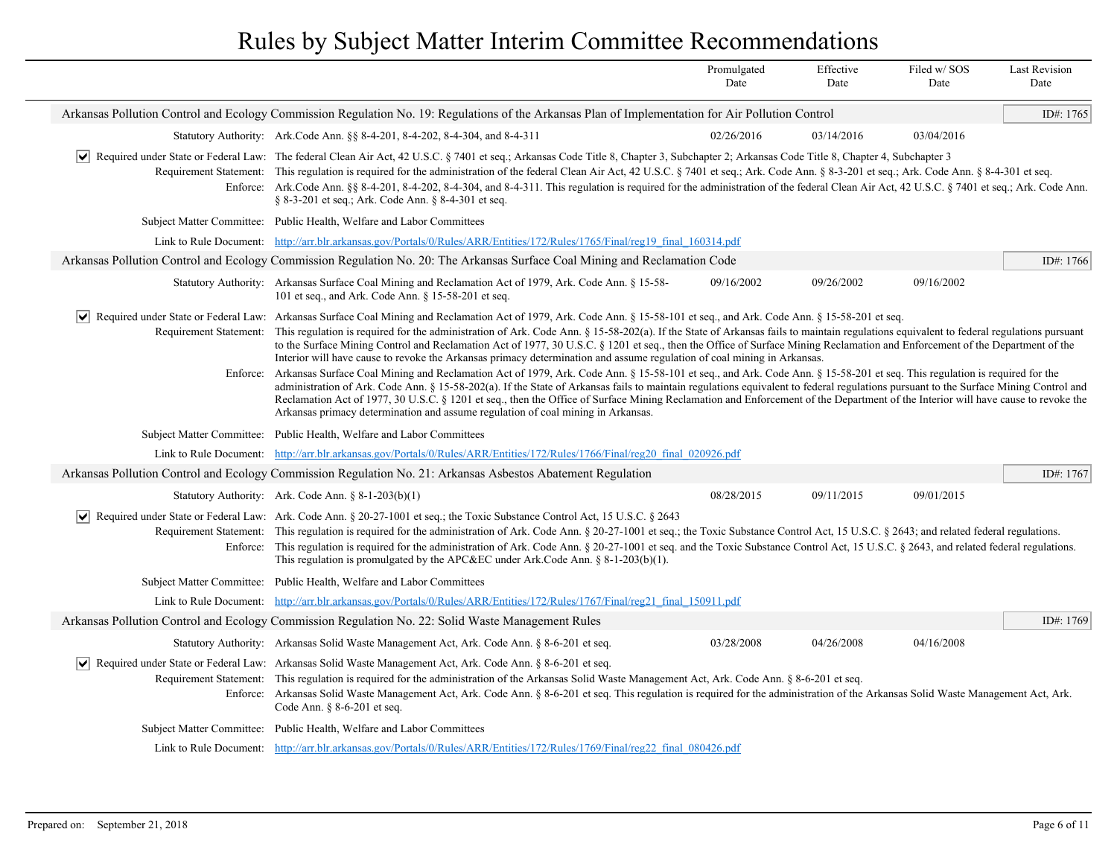|                                                                                                                                                                                                                                                                                                                                                                                                                                                                                                                                                                                                                                                                                                                                                                                                                                                                                                                                                                                                                                                                                                                                                                                                                                                                                                                                                             | Promulgated<br>Date | Effective<br>Date | Filed w/SOS<br>Date | <b>Last Revision</b><br>Date |
|-------------------------------------------------------------------------------------------------------------------------------------------------------------------------------------------------------------------------------------------------------------------------------------------------------------------------------------------------------------------------------------------------------------------------------------------------------------------------------------------------------------------------------------------------------------------------------------------------------------------------------------------------------------------------------------------------------------------------------------------------------------------------------------------------------------------------------------------------------------------------------------------------------------------------------------------------------------------------------------------------------------------------------------------------------------------------------------------------------------------------------------------------------------------------------------------------------------------------------------------------------------------------------------------------------------------------------------------------------------|---------------------|-------------------|---------------------|------------------------------|
| Arkansas Pollution Control and Ecology Commission Regulation No. 19: Regulations of the Arkansas Plan of Implementation for Air Pollution Control                                                                                                                                                                                                                                                                                                                                                                                                                                                                                                                                                                                                                                                                                                                                                                                                                                                                                                                                                                                                                                                                                                                                                                                                           |                     |                   |                     | ID#: 1765                    |
| Statutory Authority: Ark. Code Ann. §§ 8-4-201, 8-4-202, 8-4-304, and 8-4-311                                                                                                                                                                                                                                                                                                                                                                                                                                                                                                                                                                                                                                                                                                                                                                                                                                                                                                                                                                                                                                                                                                                                                                                                                                                                               | 02/26/2016          | 03/14/2016        | 03/04/2016          |                              |
| Required under State or Federal Law: The federal Clean Air Act, 42 U.S.C. § 7401 et seq.; Arkansas Code Title 8, Chapter 3, Subchapter 2; Arkansas Code Title 8, Chapter 4, Subchapter 3<br>Requirement Statement: This regulation is required for the administration of the federal Clean Air Act, 42 U.S.C. § 7401 et seq.; Ark. Code Ann. § 8-3-201 et seq.; Ark. Code Ann. § 8-4-301 et seq.<br>Enforce: Ark.Code Ann. §§ 8-4-201, 8-4-202, 8-4-304, and 8-4-311. This regulation is required for the administration of the federal Clean Air Act, 42 U.S.C. § 7401 et seq.; Ark. Code Ann.<br>§ 8-3-201 et seq.; Ark. Code Ann. § 8-4-301 et seq.                                                                                                                                                                                                                                                                                                                                                                                                                                                                                                                                                                                                                                                                                                      |                     |                   |                     |                              |
| Subject Matter Committee: Public Health, Welfare and Labor Committees                                                                                                                                                                                                                                                                                                                                                                                                                                                                                                                                                                                                                                                                                                                                                                                                                                                                                                                                                                                                                                                                                                                                                                                                                                                                                       |                     |                   |                     |                              |
| Link to Rule Document: http://arr.blr.arkansas.gov/Portals/0/Rules/ARR/Entities/172/Rules/1765/Final/reg19 final 160314.pdf                                                                                                                                                                                                                                                                                                                                                                                                                                                                                                                                                                                                                                                                                                                                                                                                                                                                                                                                                                                                                                                                                                                                                                                                                                 |                     |                   |                     |                              |
| Arkansas Pollution Control and Ecology Commission Regulation No. 20: The Arkansas Surface Coal Mining and Reclamation Code                                                                                                                                                                                                                                                                                                                                                                                                                                                                                                                                                                                                                                                                                                                                                                                                                                                                                                                                                                                                                                                                                                                                                                                                                                  |                     |                   |                     | ID#: 1766                    |
| Statutory Authority: Arkansas Surface Coal Mining and Reclamation Act of 1979, Ark. Code Ann. § 15-58-<br>101 et seq., and Ark. Code Ann. § 15-58-201 et seq.                                                                                                                                                                                                                                                                                                                                                                                                                                                                                                                                                                                                                                                                                                                                                                                                                                                                                                                                                                                                                                                                                                                                                                                               | 09/16/2002          | 09/26/2002        | 09/16/2002          |                              |
| ↓ Required under State or Federal Law: Arkansas Surface Coal Mining and Reclamation Act of 1979, Ark. Code Ann. § 15-58-101 et seq., and Ark. Code Ann. § 15-58-201 et seq.<br>Requirement Statement: This regulation is required for the administration of Ark. Code Ann. § 15-58-202(a). If the State of Arkansas fails to maintain regulations equivalent to federal regulations pursuant<br>to the Surface Mining Control and Reclamation Act of 1977, 30 U.S.C. § 1201 et seq., then the Office of Surface Mining Reclamation and Enforcement of the Department of the<br>Interior will have cause to revoke the Arkansas primacy determination and assume regulation of coal mining in Arkansas.<br>Enforce: Arkansas Surface Coal Mining and Reclamation Act of 1979, Ark. Code Ann. § 15-58-101 et seq., and Ark. Code Ann. § 15-58-201 et seq. This regulation is required for the<br>administration of Ark. Code Ann. § 15-58-202(a). If the State of Arkansas fails to maintain regulations equivalent to federal regulations pursuant to the Surface Mining Control and<br>Reclamation Act of 1977, 30 U.S.C. § 1201 et seq., then the Office of Surface Mining Reclamation and Enforcement of the Department of the Interior will have cause to revoke the<br>Arkansas primacy determination and assume regulation of coal mining in Arkansas. |                     |                   |                     |                              |
| Subject Matter Committee: Public Health, Welfare and Labor Committees                                                                                                                                                                                                                                                                                                                                                                                                                                                                                                                                                                                                                                                                                                                                                                                                                                                                                                                                                                                                                                                                                                                                                                                                                                                                                       |                     |                   |                     |                              |
| Link to Rule Document: http://arr.blr.arkansas.gov/Portals/0/Rules/ARR/Entities/172/Rules/1766/Final/reg20 final 020926.pdf                                                                                                                                                                                                                                                                                                                                                                                                                                                                                                                                                                                                                                                                                                                                                                                                                                                                                                                                                                                                                                                                                                                                                                                                                                 |                     |                   |                     |                              |
| Arkansas Pollution Control and Ecology Commission Regulation No. 21: Arkansas Asbestos Abatement Regulation                                                                                                                                                                                                                                                                                                                                                                                                                                                                                                                                                                                                                                                                                                                                                                                                                                                                                                                                                                                                                                                                                                                                                                                                                                                 |                     |                   |                     | ID#: 1767                    |
| Statutory Authority: Ark. Code Ann. § 8-1-203(b)(1)                                                                                                                                                                                                                                                                                                                                                                                                                                                                                                                                                                                                                                                                                                                                                                                                                                                                                                                                                                                                                                                                                                                                                                                                                                                                                                         | 08/28/2015          | 09/11/2015        | 09/01/2015          |                              |
| $\vert \vee \vert$ Required under State or Federal Law: Ark. Code Ann. § 20-27-1001 et seq.; the Toxic Substance Control Act, 15 U.S.C. § 2643<br>Requirement Statement: This regulation is required for the administration of Ark. Code Ann. § 20-27-1001 et seq.; the Toxic Substance Control Act, 15 U.S.C. § 2643; and related federal regulations.<br>Enforce: This regulation is required for the administration of Ark. Code Ann. § 20-27-1001 et seq. and the Toxic Substance Control Act, 15 U.S.C. § 2643, and related federal regulations.<br>This regulation is promulgated by the APC&EC under Ark. Code Ann. $\S$ 8-1-203(b)(1).                                                                                                                                                                                                                                                                                                                                                                                                                                                                                                                                                                                                                                                                                                              |                     |                   |                     |                              |
| Subject Matter Committee: Public Health, Welfare and Labor Committees                                                                                                                                                                                                                                                                                                                                                                                                                                                                                                                                                                                                                                                                                                                                                                                                                                                                                                                                                                                                                                                                                                                                                                                                                                                                                       |                     |                   |                     |                              |
| Link to Rule Document: http://arr.blr.arkansas.gov/Portals/0/Rules/ARR/Entities/172/Rules/1767/Final/reg21 final 150911.pdf                                                                                                                                                                                                                                                                                                                                                                                                                                                                                                                                                                                                                                                                                                                                                                                                                                                                                                                                                                                                                                                                                                                                                                                                                                 |                     |                   |                     |                              |
| Arkansas Pollution Control and Ecology Commission Regulation No. 22: Solid Waste Management Rules                                                                                                                                                                                                                                                                                                                                                                                                                                                                                                                                                                                                                                                                                                                                                                                                                                                                                                                                                                                                                                                                                                                                                                                                                                                           |                     |                   |                     | ID#: 1769                    |
| Statutory Authority: Arkansas Solid Waste Management Act, Ark. Code Ann. § 8-6-201 et seq.                                                                                                                                                                                                                                                                                                                                                                                                                                                                                                                                                                                                                                                                                                                                                                                                                                                                                                                                                                                                                                                                                                                                                                                                                                                                  | 03/28/2008          | 04/26/2008        | 04/16/2008          |                              |
| √ Required under State or Federal Law: Arkansas Solid Waste Management Act, Ark. Code Ann. § 8-6-201 et seq.<br>Requirement Statement: This regulation is required for the administration of the Arkansas Solid Waste Management Act, Ark. Code Ann. § 8-6-201 et seq.<br>Enforce: Arkansas Solid Waste Management Act, Ark. Code Ann. § 8-6-201 et seq. This regulation is required for the administration of the Arkansas Solid Waste Management Act, Ark.<br>Code Ann. § 8-6-201 et seq.                                                                                                                                                                                                                                                                                                                                                                                                                                                                                                                                                                                                                                                                                                                                                                                                                                                                 |                     |                   |                     |                              |
| Subject Matter Committee: Public Health, Welfare and Labor Committees                                                                                                                                                                                                                                                                                                                                                                                                                                                                                                                                                                                                                                                                                                                                                                                                                                                                                                                                                                                                                                                                                                                                                                                                                                                                                       |                     |                   |                     |                              |
| Link to Rule Document: http://arr.blr.arkansas.gov/Portals/0/Rules/ARR/Entities/172/Rules/1769/Final/reg22 final 080426.pdf                                                                                                                                                                                                                                                                                                                                                                                                                                                                                                                                                                                                                                                                                                                                                                                                                                                                                                                                                                                                                                                                                                                                                                                                                                 |                     |                   |                     |                              |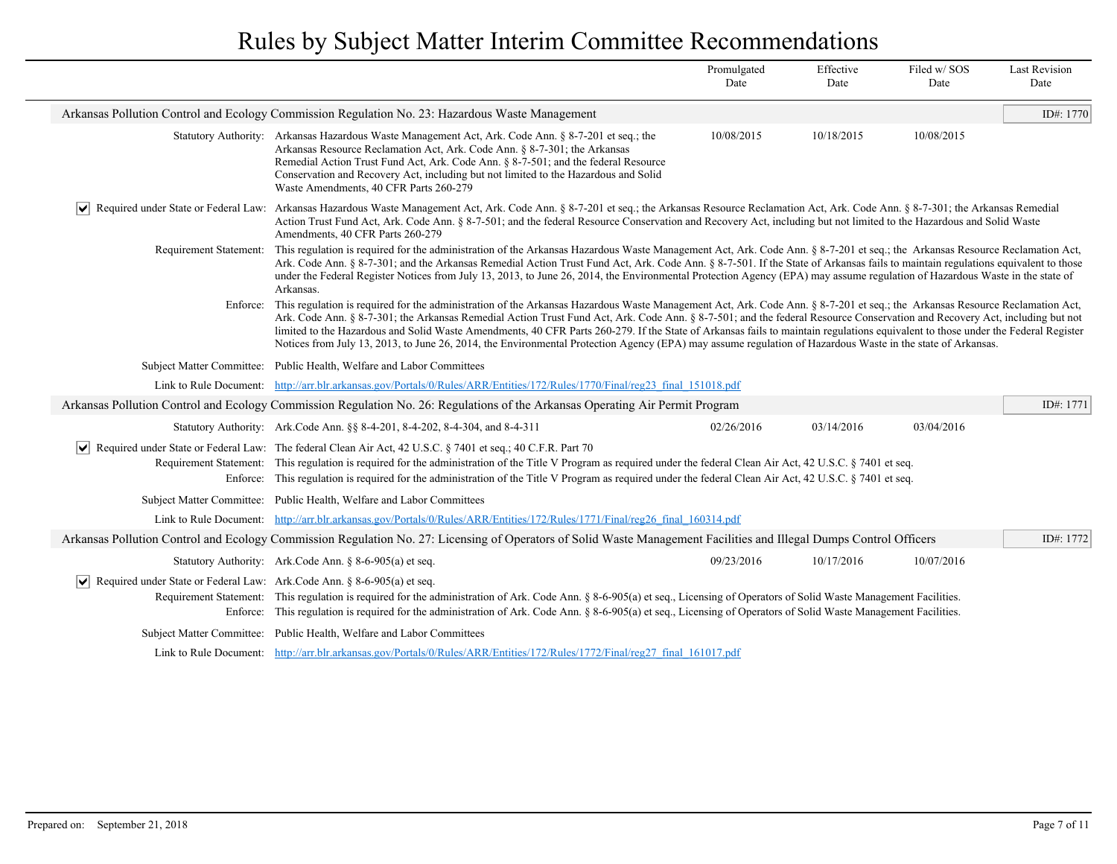|                                                                                                |                                                                                                                                                                                                                                                                                                                                                                                                                                                                                                                                                                                                                                                                                                                      | Promulgated<br>Date | Effective<br>Date | Filed w/SOS<br>Date | <b>Last Revision</b><br>Date |
|------------------------------------------------------------------------------------------------|----------------------------------------------------------------------------------------------------------------------------------------------------------------------------------------------------------------------------------------------------------------------------------------------------------------------------------------------------------------------------------------------------------------------------------------------------------------------------------------------------------------------------------------------------------------------------------------------------------------------------------------------------------------------------------------------------------------------|---------------------|-------------------|---------------------|------------------------------|
|                                                                                                | Arkansas Pollution Control and Ecology Commission Regulation No. 23: Hazardous Waste Management                                                                                                                                                                                                                                                                                                                                                                                                                                                                                                                                                                                                                      |                     |                   |                     | ID#: 1770                    |
|                                                                                                | Statutory Authority: Arkansas Hazardous Waste Management Act, Ark. Code Ann. § 8-7-201 et seq.; the<br>Arkansas Resource Reclamation Act, Ark. Code Ann. § 8-7-301; the Arkansas<br>Remedial Action Trust Fund Act, Ark. Code Ann. § 8-7-501; and the federal Resource<br>Conservation and Recovery Act, including but not limited to the Hazardous and Solid<br>Waste Amendments, 40 CFR Parts 260-279                                                                                                                                                                                                                                                                                                              | 10/08/2015          | 10/18/2015        | 10/08/2015          |                              |
| $ \bm{\mathsf{v}} $                                                                            | Required under State or Federal Law: Arkansas Hazardous Waste Management Act, Ark. Code Ann. § 8-7-201 et seq.; the Arkansas Resource Reclamation Act, Ark. Code Ann. § 8-7-301; the Arkansas Remedial<br>Action Trust Fund Act, Ark. Code Ann. § 8-7-501; and the federal Resource Conservation and Recovery Act, including but not limited to the Hazardous and Solid Waste<br>Amendments, 40 CFR Parts 260-279                                                                                                                                                                                                                                                                                                    |                     |                   |                     |                              |
|                                                                                                | Requirement Statement: This regulation is required for the administration of the Arkansas Hazardous Waste Management Act, Ark. Code Ann. § 8-7-201 et seq.; the Arkansas Resource Reclamation Act,<br>Ark. Code Ann. § 8-7-301; and the Arkansas Remedial Action Trust Fund Act, Ark. Code Ann. § 8-7-501. If the State of Arkansas fails to maintain regulations equivalent to those<br>under the Federal Register Notices from July 13, 2013, to June 26, 2014, the Environmental Protection Agency (EPA) may assume regulation of Hazardous Waste in the state of<br>Arkansas.                                                                                                                                    |                     |                   |                     |                              |
|                                                                                                | Enforce: This regulation is required for the administration of the Arkansas Hazardous Waste Management Act, Ark. Code Ann. § 8-7-201 et seq.; the Arkansas Resource Reclamation Act,<br>Ark. Code Ann. § 8-7-301; the Arkansas Remedial Action Trust Fund Act, Ark. Code Ann. § 8-7-501; and the federal Resource Conservation and Recovery Act, including but not<br>limited to the Hazardous and Solid Waste Amendments, 40 CFR Parts 260-279. If the State of Arkansas fails to maintain regulations equivalent to those under the Federal Register<br>Notices from July 13, 2013, to June 26, 2014, the Environmental Protection Agency (EPA) may assume regulation of Hazardous Waste in the state of Arkansas. |                     |                   |                     |                              |
|                                                                                                | Subject Matter Committee: Public Health, Welfare and Labor Committees                                                                                                                                                                                                                                                                                                                                                                                                                                                                                                                                                                                                                                                |                     |                   |                     |                              |
|                                                                                                | Link to Rule Document: http://arr.blr.arkansas.gov/Portals/0/Rules/ARR/Entities/172/Rules/1770/Final/reg23_final_151018.pdf                                                                                                                                                                                                                                                                                                                                                                                                                                                                                                                                                                                          |                     |                   |                     |                              |
|                                                                                                | Arkansas Pollution Control and Ecology Commission Regulation No. 26: Regulations of the Arkansas Operating Air Permit Program                                                                                                                                                                                                                                                                                                                                                                                                                                                                                                                                                                                        |                     |                   |                     | ID#: 1771                    |
|                                                                                                | Statutory Authority: Ark. Code Ann. §§ 8-4-201, 8-4-202, 8-4-304, and 8-4-311                                                                                                                                                                                                                                                                                                                                                                                                                                                                                                                                                                                                                                        | 02/26/2016          | 03/14/2016        | 03/04/2016          |                              |
| $ \mathbf{v} $                                                                                 | Required under State or Federal Law: The federal Clean Air Act, 42 U.S.C. § 7401 et seq.; 40 C.F.R. Part 70<br>Requirement Statement: This regulation is required for the administration of the Title V Program as required under the federal Clean Air Act, 42 U.S.C. § 7401 et seq.<br>Enforce: This regulation is required for the administration of the Title V Program as required under the federal Clean Air Act, 42 U.S.C. § 7401 et seq.                                                                                                                                                                                                                                                                    |                     |                   |                     |                              |
|                                                                                                | Subject Matter Committee: Public Health, Welfare and Labor Committees                                                                                                                                                                                                                                                                                                                                                                                                                                                                                                                                                                                                                                                |                     |                   |                     |                              |
|                                                                                                | Link to Rule Document: http://arr.blr.arkansas.gov/Portals/0/Rules/ARR/Entities/172/Rules/1771/Final/reg26 final 160314.pdf                                                                                                                                                                                                                                                                                                                                                                                                                                                                                                                                                                                          |                     |                   |                     |                              |
|                                                                                                | Arkansas Pollution Control and Ecology Commission Regulation No. 27: Licensing of Operators of Solid Waste Management Facilities and Illegal Dumps Control Officers                                                                                                                                                                                                                                                                                                                                                                                                                                                                                                                                                  |                     |                   |                     | ID#: 1772                    |
|                                                                                                | Statutory Authority: Ark. Code Ann. § 8-6-905(a) et seq.                                                                                                                                                                                                                                                                                                                                                                                                                                                                                                                                                                                                                                                             | 09/23/2016          | 10/17/2016        | 10/07/2016          |                              |
| Required under State or Federal Law: Ark.Code Ann. § 8-6-905(a) et seq.<br>$ \bm{\mathsf{v}} $ | Requirement Statement: This regulation is required for the administration of Ark. Code Ann. § 8-6-905(a) et seq., Licensing of Operators of Solid Waste Management Facilities.<br>Enforce: This regulation is required for the administration of Ark. Code Ann. § 8-6-905(a) et seq., Licensing of Operators of Solid Waste Management Facilities.                                                                                                                                                                                                                                                                                                                                                                   |                     |                   |                     |                              |
|                                                                                                | Subject Matter Committee: Public Health, Welfare and Labor Committees                                                                                                                                                                                                                                                                                                                                                                                                                                                                                                                                                                                                                                                |                     |                   |                     |                              |
|                                                                                                | Link to Rule Document: http://arr.blr.arkansas.gov/Portals/0/Rules/ARR/Entities/172/Rules/1772/Final/reg27 final 161017.pdf                                                                                                                                                                                                                                                                                                                                                                                                                                                                                                                                                                                          |                     |                   |                     |                              |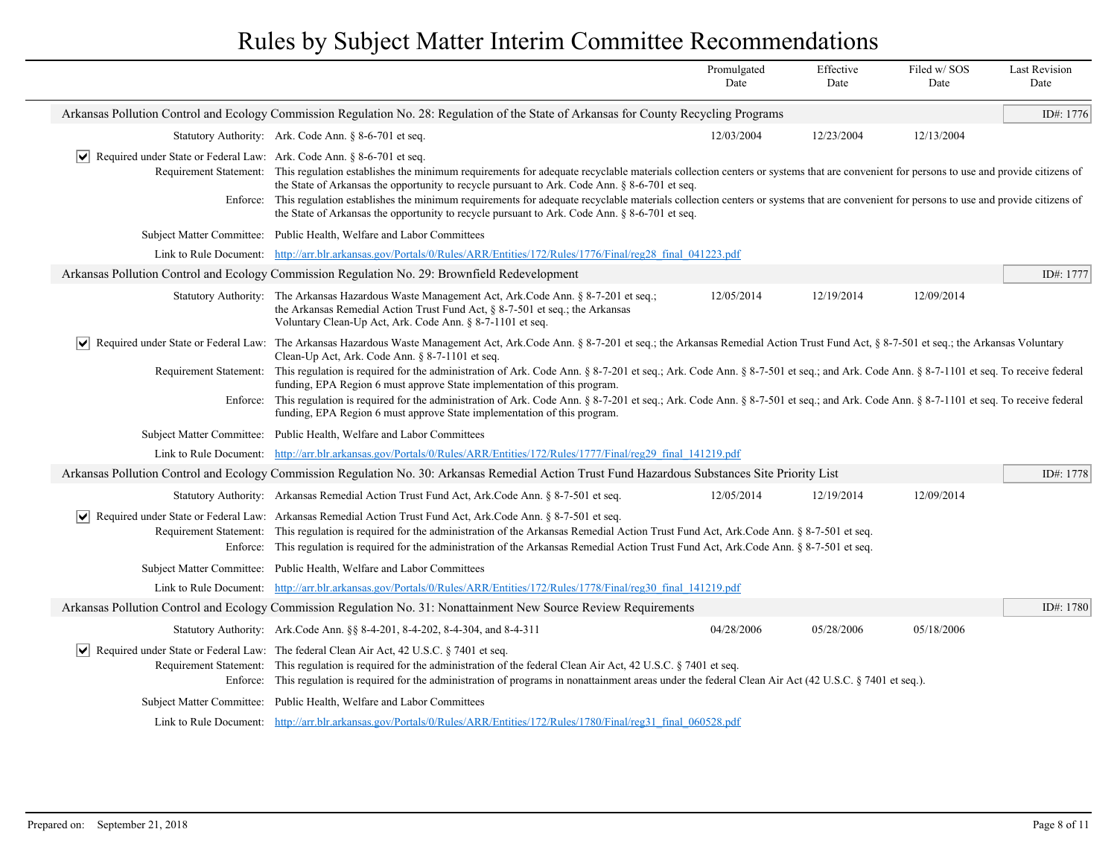|                                                                       |                                                                                                                                                                                                                                                                                                                                                                                                                                                                                                                                                                                                              | Promulgated<br>Date | Effective<br>Date | Filed w/SOS<br>Date | <b>Last Revision</b><br>Date |
|-----------------------------------------------------------------------|--------------------------------------------------------------------------------------------------------------------------------------------------------------------------------------------------------------------------------------------------------------------------------------------------------------------------------------------------------------------------------------------------------------------------------------------------------------------------------------------------------------------------------------------------------------------------------------------------------------|---------------------|-------------------|---------------------|------------------------------|
|                                                                       | Arkansas Pollution Control and Ecology Commission Regulation No. 28: Regulation of the State of Arkansas for County Recycling Programs                                                                                                                                                                                                                                                                                                                                                                                                                                                                       |                     |                   |                     | ID#: 1776                    |
|                                                                       | Statutory Authority: Ark. Code Ann. § 8-6-701 et seq.                                                                                                                                                                                                                                                                                                                                                                                                                                                                                                                                                        | 12/03/2004          | 12/23/2004        | 12/13/2004          |                              |
| Required under State or Federal Law: Ark. Code Ann. § 8-6-701 et seq. | Requirement Statement: This regulation establishes the minimum requirements for adequate recyclable materials collection centers or systems that are convenient for persons to use and provide citizens of<br>the State of Arkansas the opportunity to recycle pursuant to Ark. Code Ann. § 8-6-701 et seq.<br>Enforce: This regulation establishes the minimum requirements for adequate recyclable materials collection centers or systems that are convenient for persons to use and provide citizens of<br>the State of Arkansas the opportunity to recycle pursuant to Ark. Code Ann. § 8-6-701 et seq. |                     |                   |                     |                              |
|                                                                       | Subject Matter Committee: Public Health, Welfare and Labor Committees                                                                                                                                                                                                                                                                                                                                                                                                                                                                                                                                        |                     |                   |                     |                              |
|                                                                       | Link to Rule Document: http://arr.blr.arkansas.gov/Portals/0/Rules/ARR/Entities/172/Rules/1776/Final/reg28 final 041223.pdf                                                                                                                                                                                                                                                                                                                                                                                                                                                                                  |                     |                   |                     |                              |
|                                                                       | Arkansas Pollution Control and Ecology Commission Regulation No. 29: Brownfield Redevelopment                                                                                                                                                                                                                                                                                                                                                                                                                                                                                                                |                     |                   |                     | ID#: 1777                    |
|                                                                       | Statutory Authority: The Arkansas Hazardous Waste Management Act, Ark.Code Ann. § 8-7-201 et seq.;<br>the Arkansas Remedial Action Trust Fund Act, § 8-7-501 et seq.; the Arkansas<br>Voluntary Clean-Up Act, Ark. Code Ann. § 8-7-1101 et seq.                                                                                                                                                                                                                                                                                                                                                              | 12/05/2014          | 12/19/2014        | 12/09/2014          |                              |
|                                                                       | Required under State or Federal Law: The Arkansas Hazardous Waste Management Act, Ark.Code Ann. § 8-7-201 et seq.; the Arkansas Remedial Action Trust Fund Act, § 8-7-501 et seq.; the Arkansas Voluntary<br>Clean-Up Act, Ark. Code Ann. § 8-7-1101 et seq.                                                                                                                                                                                                                                                                                                                                                 |                     |                   |                     |                              |
|                                                                       | Requirement Statement: This regulation is required for the administration of Ark. Code Ann. § 8-7-201 et seq.; Ark. Code Ann. § 8-7-501 et seq.; and Ark. Code Ann. § 8-7-1101 et seq. To receive federal<br>funding, EPA Region 6 must approve State implementation of this program.                                                                                                                                                                                                                                                                                                                        |                     |                   |                     |                              |
|                                                                       | Enforce: This regulation is required for the administration of Ark. Code Ann. § 8-7-201 et seq.; Ark. Code Ann. § 8-7-501 et seq.; and Ark. Code Ann. § 8-7-1101 et seq. To receive federal<br>funding, EPA Region 6 must approve State implementation of this program.                                                                                                                                                                                                                                                                                                                                      |                     |                   |                     |                              |
|                                                                       | Subject Matter Committee: Public Health, Welfare and Labor Committees                                                                                                                                                                                                                                                                                                                                                                                                                                                                                                                                        |                     |                   |                     |                              |
|                                                                       | Link to Rule Document: http://arr.blr.arkansas.gov/Portals/0/Rules/ARR/Entities/172/Rules/1777/Final/reg29_final_141219.pdf                                                                                                                                                                                                                                                                                                                                                                                                                                                                                  |                     |                   |                     |                              |
|                                                                       | Arkansas Pollution Control and Ecology Commission Regulation No. 30: Arkansas Remedial Action Trust Fund Hazardous Substances Site Priority List                                                                                                                                                                                                                                                                                                                                                                                                                                                             |                     |                   |                     | ID#: 1778                    |
|                                                                       | Statutory Authority: Arkansas Remedial Action Trust Fund Act, Ark.Code Ann. § 8-7-501 et seq.                                                                                                                                                                                                                                                                                                                                                                                                                                                                                                                | 12/05/2014          | 12/19/2014        | 12/09/2014          |                              |
|                                                                       | √ Required under State or Federal Law: Arkansas Remedial Action Trust Fund Act, Ark.Code Ann. § 8-7-501 et seq.<br>Requirement Statement: This regulation is required for the administration of the Arkansas Remedial Action Trust Fund Act, Ark.Code Ann. § 8-7-501 et seq.<br>Enforce: This regulation is required for the administration of the Arkansas Remedial Action Trust Fund Act, Ark, Code Ann. § 8-7-501 et seq.                                                                                                                                                                                 |                     |                   |                     |                              |
|                                                                       | Subject Matter Committee: Public Health, Welfare and Labor Committees                                                                                                                                                                                                                                                                                                                                                                                                                                                                                                                                        |                     |                   |                     |                              |
|                                                                       | Link to Rule Document: http://arr.blr.arkansas.gov/Portals/0/Rules/ARR/Entities/172/Rules/1778/Final/reg30 final 141219.pdf                                                                                                                                                                                                                                                                                                                                                                                                                                                                                  |                     |                   |                     |                              |
|                                                                       | Arkansas Pollution Control and Ecology Commission Regulation No. 31: Nonattainment New Source Review Requirements                                                                                                                                                                                                                                                                                                                                                                                                                                                                                            |                     |                   |                     | ID#: 1780                    |
|                                                                       | Statutory Authority: Ark.Code Ann. §§ 8-4-201, 8-4-202, 8-4-304, and 8-4-311                                                                                                                                                                                                                                                                                                                                                                                                                                                                                                                                 | 04/28/2006          | 05/28/2006        | 05/18/2006          |                              |
| Enforce:                                                              | $ \mathbf{v} $ Required under State or Federal Law: The federal Clean Air Act, 42 U.S.C. § 7401 et seq.<br>Requirement Statement: This regulation is required for the administration of the federal Clean Air Act, 42 U.S.C. § 7401 et seq.<br>This regulation is required for the administration of programs in nonattainment areas under the federal Clean Air Act (42 U.S.C. § 7401 et seq.).                                                                                                                                                                                                             |                     |                   |                     |                              |
|                                                                       | Subject Matter Committee: Public Health, Welfare and Labor Committees                                                                                                                                                                                                                                                                                                                                                                                                                                                                                                                                        |                     |                   |                     |                              |
|                                                                       | Link to Rule Document: http://arr.blr.arkansas.gov/Portals/0/Rules/ARR/Entities/172/Rules/1780/Final/reg31 final 060528.pdf                                                                                                                                                                                                                                                                                                                                                                                                                                                                                  |                     |                   |                     |                              |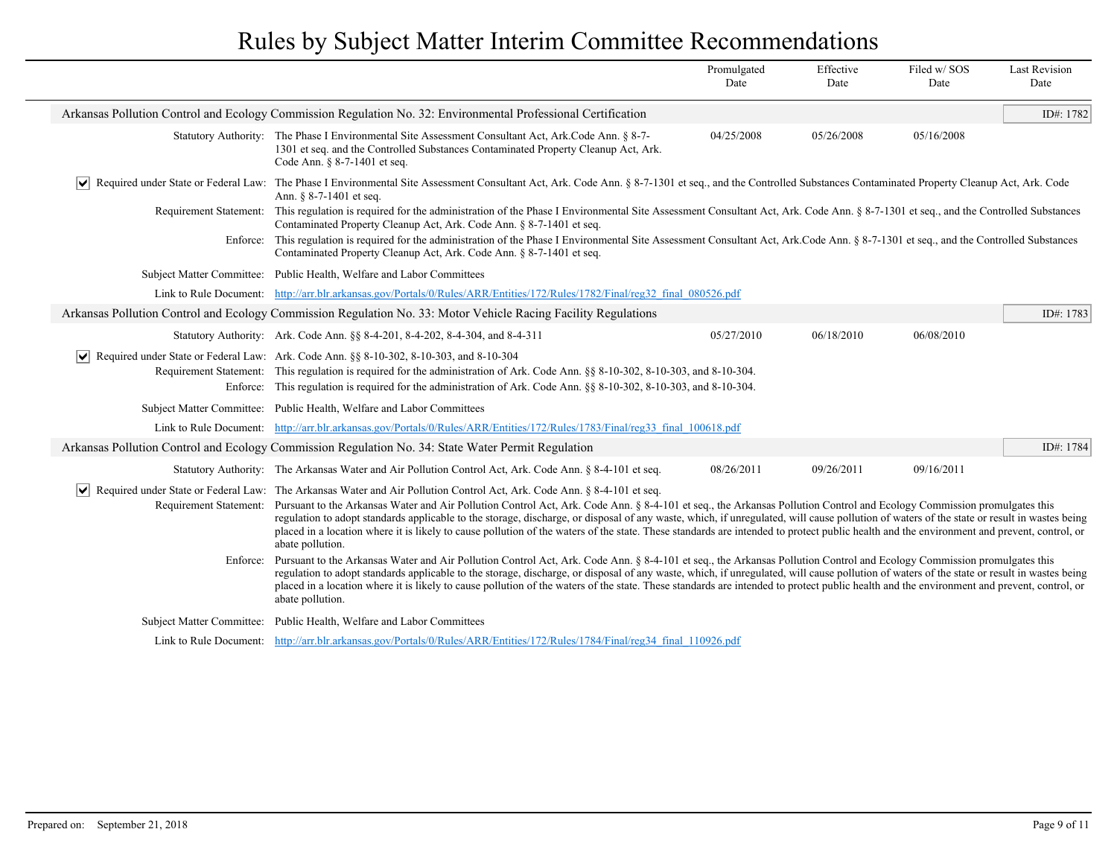|                                  |                                                                                                                                                                                                                                                                                                                                                                                                                                                                                                                                                                                                                                                                                                                    | Promulgated<br>Date | Effective<br>Date | Filed w/SOS<br>Date | <b>Last Revision</b><br>Date |
|----------------------------------|--------------------------------------------------------------------------------------------------------------------------------------------------------------------------------------------------------------------------------------------------------------------------------------------------------------------------------------------------------------------------------------------------------------------------------------------------------------------------------------------------------------------------------------------------------------------------------------------------------------------------------------------------------------------------------------------------------------------|---------------------|-------------------|---------------------|------------------------------|
|                                  | Arkansas Pollution Control and Ecology Commission Regulation No. 32: Environmental Professional Certification                                                                                                                                                                                                                                                                                                                                                                                                                                                                                                                                                                                                      |                     |                   |                     | ID#: 1782                    |
|                                  | Statutory Authority: The Phase I Environmental Site Assessment Consultant Act, Ark.Code Ann. § 8-7-<br>1301 et seq. and the Controlled Substances Contaminated Property Cleanup Act, Ark.<br>Code Ann. § 8-7-1401 et seq.                                                                                                                                                                                                                                                                                                                                                                                                                                                                                          | 04/25/2008          | 05/26/2008        | 05/16/2008          |                              |
|                                  | Required under State or Federal Law: The Phase I Environmental Site Assessment Consultant Act, Ark. Code Ann. § 8-7-1301 et seq., and the Controlled Substances Contaminated Property Cleanup Act, Ark. Code<br>Ann. § 8-7-1401 et seq.                                                                                                                                                                                                                                                                                                                                                                                                                                                                            |                     |                   |                     |                              |
|                                  | Requirement Statement: This regulation is required for the administration of the Phase I Environmental Site Assessment Consultant Act, Ark. Code Ann. § 8-7-1301 et seq., and the Controlled Substances<br>Contaminated Property Cleanup Act, Ark. Code Ann. § 8-7-1401 et seq.                                                                                                                                                                                                                                                                                                                                                                                                                                    |                     |                   |                     |                              |
|                                  | Enforce: This regulation is required for the administration of the Phase I Environmental Site Assessment Consultant Act, Ark.Code Ann. § 8-7-1301 et seq., and the Controlled Substances<br>Contaminated Property Cleanup Act, Ark. Code Ann. § 8-7-1401 et seq.                                                                                                                                                                                                                                                                                                                                                                                                                                                   |                     |                   |                     |                              |
|                                  | Subject Matter Committee: Public Health, Welfare and Labor Committees                                                                                                                                                                                                                                                                                                                                                                                                                                                                                                                                                                                                                                              |                     |                   |                     |                              |
|                                  | Link to Rule Document: http://arr.blr.arkansas.gov/Portals/0/Rules/ARR/Entities/172/Rules/1782/Final/reg32 final 080526.pdf                                                                                                                                                                                                                                                                                                                                                                                                                                                                                                                                                                                        |                     |                   |                     |                              |
|                                  | Arkansas Pollution Control and Ecology Commission Regulation No. 33: Motor Vehicle Racing Facility Regulations                                                                                                                                                                                                                                                                                                                                                                                                                                                                                                                                                                                                     |                     |                   |                     | ID#: $1783$                  |
|                                  | Statutory Authority: Ark. Code Ann. §§ 8-4-201, 8-4-202, 8-4-304, and 8-4-311                                                                                                                                                                                                                                                                                                                                                                                                                                                                                                                                                                                                                                      | 05/27/2010          | 06/18/2010        | 06/08/2010          |                              |
|                                  | $\vert \vee \vert$ Required under State or Federal Law: Ark. Code Ann. §§ 8-10-302, 8-10-303, and 8-10-304<br>Requirement Statement: This regulation is required for the administration of Ark. Code Ann. §§ 8-10-302, 8-10-303, and 8-10-304.<br>Enforce: This regulation is required for the administration of Ark. Code Ann. §§ 8-10-302, 8-10-303, and 8-10-304.                                                                                                                                                                                                                                                                                                                                               |                     |                   |                     |                              |
|                                  | Subject Matter Committee: Public Health, Welfare and Labor Committees                                                                                                                                                                                                                                                                                                                                                                                                                                                                                                                                                                                                                                              |                     |                   |                     |                              |
|                                  | Link to Rule Document: http://arr.blr.arkansas.gov/Portals/0/Rules/ARR/Entities/172/Rules/1783/Final/reg33 final 100618.pdf                                                                                                                                                                                                                                                                                                                                                                                                                                                                                                                                                                                        |                     |                   |                     |                              |
|                                  | Arkansas Pollution Control and Ecology Commission Regulation No. 34: State Water Permit Regulation                                                                                                                                                                                                                                                                                                                                                                                                                                                                                                                                                                                                                 |                     |                   |                     | ID#: 1784                    |
|                                  | Statutory Authority: The Arkansas Water and Air Pollution Control Act, Ark. Code Ann. § 8-4-101 et seq.                                                                                                                                                                                                                                                                                                                                                                                                                                                                                                                                                                                                            | 08/26/2011          | 09/26/2011        | 09/16/2011          |                              |
| Requirement Statement:           | ► Required under State or Federal Law: The Arkansas Water and Air Pollution Control Act, Ark. Code Ann. § 8-4-101 et seq.<br>Pursuant to the Arkansas Water and Air Pollution Control Act, Ark. Code Ann. § 8-4-101 et seq., the Arkansas Pollution Control and Ecology Commission promulgates this<br>regulation to adopt standards applicable to the storage, discharge, or disposal of any waste, which, if unregulated, will cause pollution of waters of the state or result in wastes being<br>placed in a location where it is likely to cause pollution of the waters of the state. These standards are intended to protect public health and the environment and prevent, control, or<br>abate pollution. |                     |                   |                     |                              |
| Enforce:                         | Pursuant to the Arkansas Water and Air Pollution Control Act, Ark. Code Ann. § 8-4-101 et seq., the Arkansas Pollution Control and Ecology Commission promulgates this<br>regulation to adopt standards applicable to the storage, discharge, or disposal of any waste, which, if unregulated, will cause pollution of waters of the state or result in wastes being<br>placed in a location where it is likely to cause pollution of the waters of the state. These standards are intended to protect public health and the environment and prevent, control, or<br>abate pollution.                                                                                                                              |                     |                   |                     |                              |
| <b>Subject Matter Committee:</b> | Public Health, Welfare and Labor Committees                                                                                                                                                                                                                                                                                                                                                                                                                                                                                                                                                                                                                                                                        |                     |                   |                     |                              |
|                                  | Link to Rule Document: http://arr.blr.arkansas.gov/Portals/0/Rules/ARR/Entities/172/Rules/1784/Final/reg34 final 110926.pdf                                                                                                                                                                                                                                                                                                                                                                                                                                                                                                                                                                                        |                     |                   |                     |                              |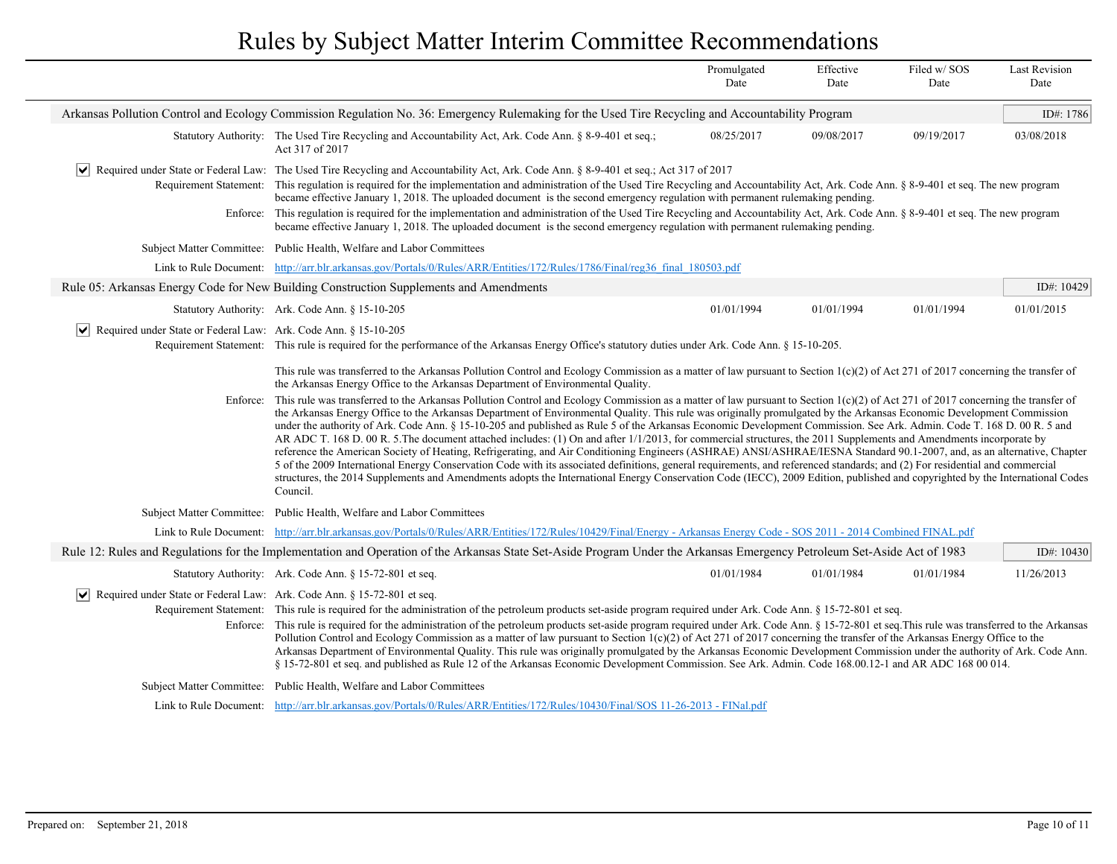|                                                                                                    |                                                                                                                                                                                                                                                                                                                                                                                                                                                                                                                                                                                                                                                                                                                                                                                                                                                                                                                                                                                                                                                                                                                                                                                                                                                                                                                                                                                                                                                                                                                                       | Promulgated<br>Date | Effective<br>Date | Filed w/SOS<br>Date | <b>Last Revision</b><br>Date |
|----------------------------------------------------------------------------------------------------|---------------------------------------------------------------------------------------------------------------------------------------------------------------------------------------------------------------------------------------------------------------------------------------------------------------------------------------------------------------------------------------------------------------------------------------------------------------------------------------------------------------------------------------------------------------------------------------------------------------------------------------------------------------------------------------------------------------------------------------------------------------------------------------------------------------------------------------------------------------------------------------------------------------------------------------------------------------------------------------------------------------------------------------------------------------------------------------------------------------------------------------------------------------------------------------------------------------------------------------------------------------------------------------------------------------------------------------------------------------------------------------------------------------------------------------------------------------------------------------------------------------------------------------|---------------------|-------------------|---------------------|------------------------------|
|                                                                                                    | Arkansas Pollution Control and Ecology Commission Regulation No. 36: Emergency Rulemaking for the Used Tire Recycling and Accountability Program                                                                                                                                                                                                                                                                                                                                                                                                                                                                                                                                                                                                                                                                                                                                                                                                                                                                                                                                                                                                                                                                                                                                                                                                                                                                                                                                                                                      |                     |                   |                     | ID#: $1786$                  |
|                                                                                                    | Statutory Authority: The Used Tire Recycling and Accountability Act, Ark. Code Ann. § 8-9-401 et seq.;<br>Act 317 of 2017                                                                                                                                                                                                                                                                                                                                                                                                                                                                                                                                                                                                                                                                                                                                                                                                                                                                                                                                                                                                                                                                                                                                                                                                                                                                                                                                                                                                             | 08/25/2017          | 09/08/2017        | 09/19/2017          | 03/08/2018                   |
| ∣V∣                                                                                                | Required under State or Federal Law: The Used Tire Recycling and Accountability Act, Ark. Code Ann. § 8-9-401 et seq.; Act 317 of 2017<br>Requirement Statement: This regulation is required for the implementation and administration of the Used Tire Recycling and Accountability Act, Ark. Code Ann. § 8-9-401 et seq. The new program<br>became effective January 1, 2018. The uploaded document is the second emergency regulation with permanent rulemaking pending.<br>Enforce: This regulation is required for the implementation and administration of the Used Tire Recycling and Accountability Act, Ark. Code Ann. § 8-9-401 et seq. The new program<br>became effective January 1, 2018. The uploaded document is the second emergency regulation with permanent rulemaking pending.                                                                                                                                                                                                                                                                                                                                                                                                                                                                                                                                                                                                                                                                                                                                    |                     |                   |                     |                              |
|                                                                                                    | Subject Matter Committee: Public Health, Welfare and Labor Committees                                                                                                                                                                                                                                                                                                                                                                                                                                                                                                                                                                                                                                                                                                                                                                                                                                                                                                                                                                                                                                                                                                                                                                                                                                                                                                                                                                                                                                                                 |                     |                   |                     |                              |
| Link to Rule Document:                                                                             | http://arr.blr.arkansas.gov/Portals/0/Rules/ARR/Entities/172/Rules/1786/Final/reg36 final 180503.pdf                                                                                                                                                                                                                                                                                                                                                                                                                                                                                                                                                                                                                                                                                                                                                                                                                                                                                                                                                                                                                                                                                                                                                                                                                                                                                                                                                                                                                                  |                     |                   |                     |                              |
|                                                                                                    | Rule 05: Arkansas Energy Code for New Building Construction Supplements and Amendments                                                                                                                                                                                                                                                                                                                                                                                                                                                                                                                                                                                                                                                                                                                                                                                                                                                                                                                                                                                                                                                                                                                                                                                                                                                                                                                                                                                                                                                |                     |                   |                     | ID#: 10429                   |
|                                                                                                    | Statutory Authority: Ark. Code Ann. § 15-10-205                                                                                                                                                                                                                                                                                                                                                                                                                                                                                                                                                                                                                                                                                                                                                                                                                                                                                                                                                                                                                                                                                                                                                                                                                                                                                                                                                                                                                                                                                       | 01/01/1994          | 01/01/1994        | 01/01/1994          | 01/01/2015                   |
| Required under State or Federal Law: Ark. Code Ann. § 15-10-205                                    | Requirement Statement: This rule is required for the performance of the Arkansas Energy Office's statutory duties under Ark. Code Ann. § 15-10-205.                                                                                                                                                                                                                                                                                                                                                                                                                                                                                                                                                                                                                                                                                                                                                                                                                                                                                                                                                                                                                                                                                                                                                                                                                                                                                                                                                                                   |                     |                   |                     |                              |
| Enforce:                                                                                           | This rule was transferred to the Arkansas Pollution Control and Ecology Commission as a matter of law pursuant to Section 1(c)(2) of Act 271 of 2017 concerning the transfer of<br>the Arkansas Energy Office to the Arkansas Department of Environmental Quality.<br>This rule was transferred to the Arkansas Pollution Control and Ecology Commission as a matter of law pursuant to Section $1(c)(2)$ of Act 271 of 2017 concerning the transfer of<br>the Arkansas Energy Office to the Arkansas Department of Environmental Quality. This rule was originally promulgated by the Arkansas Economic Development Commission<br>under the authority of Ark. Code Ann. § 15-10-205 and published as Rule 5 of the Arkansas Economic Development Commission. See Ark. Admin. Code T. 168 D. 00 R. 5 and<br>AR ADC T. 168 D. 00 R. 5. The document attached includes: (1) On and after 1/1/2013, for commercial structures, the 2011 Supplements and Amendments incorporate by<br>reference the American Society of Heating, Refrigerating, and Air Conditioning Engineers (ASHRAE) ANSI/ASHRAE/IESNA Standard 90.1-2007, and, as an alternative, Chapter<br>5 of the 2009 International Energy Conservation Code with its associated definitions, general requirements, and referenced standards; and (2) For residential and commercial<br>structures, the 2014 Supplements and Amendments adopts the International Energy Conservation Code (IECC), 2009 Edition, published and copyrighted by the International Codes<br>Council. |                     |                   |                     |                              |
| <b>Subject Matter Committee:</b>                                                                   | Public Health, Welfare and Labor Committees                                                                                                                                                                                                                                                                                                                                                                                                                                                                                                                                                                                                                                                                                                                                                                                                                                                                                                                                                                                                                                                                                                                                                                                                                                                                                                                                                                                                                                                                                           |                     |                   |                     |                              |
|                                                                                                    | Link to Rule Document: http://arr.blr.arkansas.gov/Portals/0/Rules/ARR/Entities/172/Rules/10429/Final/Energy - Arkansas Energy Code - SOS 2011 - 2014 Combined FINAL.pdf                                                                                                                                                                                                                                                                                                                                                                                                                                                                                                                                                                                                                                                                                                                                                                                                                                                                                                                                                                                                                                                                                                                                                                                                                                                                                                                                                              |                     |                   |                     |                              |
|                                                                                                    | Rule 12: Rules and Regulations for the Implementation and Operation of the Arkansas State Set-Aside Program Under the Arkansas Emergency Petroleum Set-Aside Act of 1983                                                                                                                                                                                                                                                                                                                                                                                                                                                                                                                                                                                                                                                                                                                                                                                                                                                                                                                                                                                                                                                                                                                                                                                                                                                                                                                                                              |                     |                   |                     | ID#: 10430                   |
|                                                                                                    | Statutory Authority: Ark. Code Ann. § 15-72-801 et seq.                                                                                                                                                                                                                                                                                                                                                                                                                                                                                                                                                                                                                                                                                                                                                                                                                                                                                                                                                                                                                                                                                                                                                                                                                                                                                                                                                                                                                                                                               | 01/01/1984          | 01/01/1984        | 01/01/1984          | 11/26/2013                   |
| $ \mathbf{v} $ Required under State or Federal Law: Ark. Code Ann. § 15-72-801 et seq.<br>Enforce: | Requirement Statement: This rule is required for the administration of the petroleum products set-aside program required under Ark. Code Ann. § 15-72-801 et seq.<br>This rule is required for the administration of the petroleum products set-aside program required under Ark. Code Ann. § 15-72-801 et seq. This rule was transferred to the Arkansas<br>Pollution Control and Ecology Commission as a matter of law pursuant to Section 1(c)(2) of Act 271 of 2017 concerning the transfer of the Arkansas Energy Office to the<br>Arkansas Department of Environmental Quality. This rule was originally promulgated by the Arkansas Economic Development Commission under the authority of Ark. Code Ann.<br>§ 15-72-801 et seq. and published as Rule 12 of the Arkansas Economic Development Commission. See Ark. Admin. Code 168.00.12-1 and AR ADC 168 00 014.                                                                                                                                                                                                                                                                                                                                                                                                                                                                                                                                                                                                                                                             |                     |                   |                     |                              |
|                                                                                                    | Subject Matter Committee: Public Health, Welfare and Labor Committees                                                                                                                                                                                                                                                                                                                                                                                                                                                                                                                                                                                                                                                                                                                                                                                                                                                                                                                                                                                                                                                                                                                                                                                                                                                                                                                                                                                                                                                                 |                     |                   |                     |                              |
|                                                                                                    | Link to Rule Document: http://arr.blr.arkansas.gov/Portals/0/Rules/ARR/Entities/172/Rules/10430/Final/SOS 11-26-2013 - FINal.pdf                                                                                                                                                                                                                                                                                                                                                                                                                                                                                                                                                                                                                                                                                                                                                                                                                                                                                                                                                                                                                                                                                                                                                                                                                                                                                                                                                                                                      |                     |                   |                     |                              |